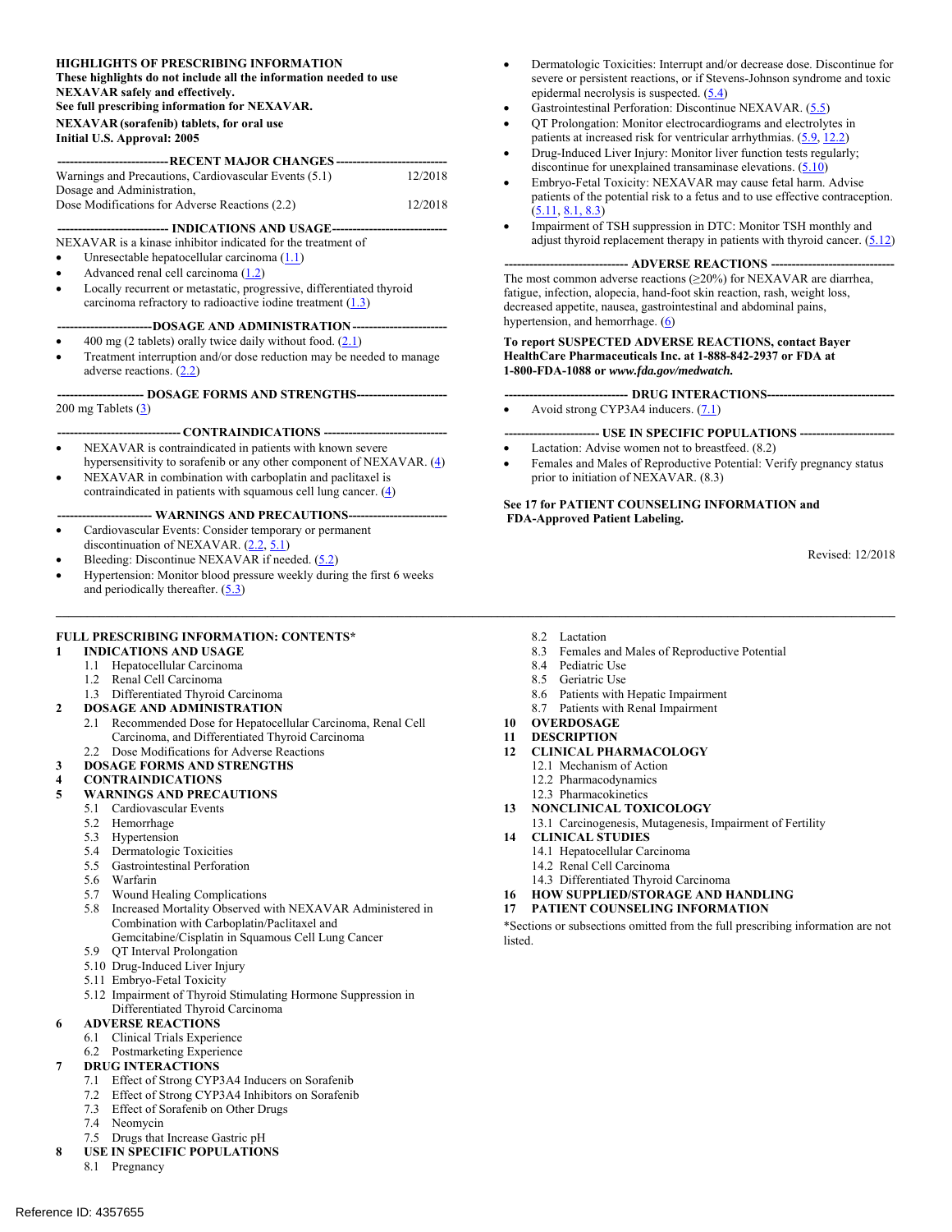#### **HIGHLIGHTS OF PRESCRIBING INFORMATION**

**These highlights do not include all the information needed to use NEXAVAR safely and effectively.** 

**See full prescribing information for NEXAVAR.** 

**NEXAVAR (sorafenib) tablets, for oral use** 

#### **Initial U.S. Approval: 2005**

| ------------------------------ RECENT MAJOR CHANGES ---------------------------- |         |  |  |  |
|----------------------------------------------------------------------------------|---------|--|--|--|
| Warnings and Precautions, Cardiovascular Events (5.1)                            | 12/2018 |  |  |  |
| Dosage and Administration,                                                       |         |  |  |  |
| Dose Modifications for Adverse Reactions (2.2)                                   | 12/2018 |  |  |  |

#### ---- INDICATIONS AND USAGE --

NEXAVAR is a kinase inhibitor indicated for the treatment of

- Unresectable hepatocellular carcinoma  $(1.1)$
- Advanced renal cell carcinoma  $(1.2)$
- Locally recurrent or metastatic, progressive, differentiated thyroid carcinoma refractory to radioactive iodine treatment  $(1.3)$

#### ---DOSAGE AND ADMINISTRATION --

- 400 mg (2 tablets) orally twice daily without food. (2.1)
- Treatment interruption and/or dose reduction may be needed to manage adverse reactions.  $(2.2)$

--- DOSAGE FORMS AND STRENGTHS -----200 mg Tablets  $(3)$ 

#### ----- **CONTRAINDICATIONS** ------

- NEXAVAR is contraindicated in patients with known severe
- hypersensitivity to sorafenib or any other component of NEXAVAR.  $(4)$ NEXAVAR in combination with carboplatin and paclitaxel is
- contraindicated in patients with squamous cell lung cancer.  $(4)$

#### ---- WARNINGS AND PRECAUTIONS--

- Cardiovascular Events: Consider temporary or permanent discontinuation of NEXAVAR. (2.2, 5.1)
- Bleeding: Discontinue NEXAVAR if needed. (5.2) Hypertension: Monitor blood pressure weekly during the first 6 weeks and periodically thereafter.  $(5.3)$

#### **FULL PRESCRIBING INFORMATION: CONTENTS\***

- **1 INDICATIONS AND USAGE** 
	- 1.1 Hepatocellular Carcinoma
	- 1.2 Renal Cell Carcinoma

#### 1.3 Differentiated Thyroid Carcinoma

- **2 DOSAGE AND ADMINISTRATION** 
	- 2.1 Recommended Dose for Hepatocellular Carcinoma, Renal Cell Carcinoma, and Differentiated Thyroid Carcinoma
	- 2.2 Dose Modifications for Adverse Reactions

# **3 DOSAGE FORMS AND STRENGTHS**

- **4 CONTRAINDICATIONS**
- **5 WARNINGS AND PRECAUTIONS** 
	- 5.1 Cardiovascular Events
	- 5.2 Hemorrhage
	- 5.3 Hypertension
	- 5.4 Dermatologic Toxicities
	- 5.5 Gastrointestinal Perforation
	- 5.6 Warfarin
	- 5.7 Wound Healing Complications
	- 5.8 Increased Mortality Observed with NEXAVAR Administered in Combination with Carboplatin/Paclitaxel and
		- Gemcitabine/Cisplatin in Squamous Cell Lung Cancer
	- 5.9 QT Interval Prolongation
	- 5.10 Drug-Induced Liver Injury
	- 5.11 Embryo-Fetal Toxicity
	- 5.12 Impairment of Thyroid Stimulating Hormone Suppression in Differentiated Thyroid Carcinoma

#### **6 ADVERSE REACTIONS**

- 6.1 Clinical Trials Experience
- 6.2 Postmarketing Experience

#### **7 DRUG INTERACTIONS**

- 7.1 Effect of Strong CYP3A4 Inducers on Sorafenib
- 7.2 Effect of Strong CYP3A4 Inhibitors on Sorafenib
- 7.3 Effect of Sorafenib on Other Drugs
- 7.4 Neomycin
- 7.5 Drugs that Increase Gastric pH
- **8 USE IN SPECIFIC POPULATIONS** 
	- 8.1 Pregnancy
- Dermatologic Toxicities: Interrupt and/or decrease dose. Discontinue for severe or persistent reactions, or if Stevens-Johnson syndrome and toxic epidermal necrolysis is suspected. (5.4)
- Gastrointestinal Perforation: Discontinue NEXAVAR. (5.5)
- QT Prolongation: Monitor electrocardiograms and electrolytes in patients at increased risk for ventricular arrhythmias. (5.9, 12.2)
- Drug-Induced Liver Injury: Monitor liver function tests regularly; discontinue for unexplained transaminase elevations.  $(5.10)$
- Embryo-Fetal Toxicity: NEXAVAR may cause fetal harm. Advise patients of the potential risk to a fetus and to use effective contraception.  $(5.11, 8.1, 8.3)$
- Impairment of TSH suppression in DTC: Monitor TSH monthly and adjust thyroid replacement therapy in patients with thyroid cancer.  $(5.12)$

#### -- ADVERSE REACTIONS --

The most common adverse reactions (≥20%) for NEXAVAR are diarrhea, fatigue, infection, alopecia, hand-foot skin reaction, rash, weight loss, decreased appetite, nausea, gastrointestinal and abdominal pains, hypertension, and hemorrhage.  $(6)$ 

#### **To report SUSPECTED ADVERSE REACTIONS, contact Bayer HealthCare Pharmaceuticals Inc. at 1-888-842-2937 or FDA at 1-800-FDA-1088 or** *www.fda.gov/medwatch.*

- **------------------------------ DRUG INTERACTIONS-------------------------------**
- Avoid strong CYP3A4 inducers.  $(7.1)$
- **----------------------- USE IN SPECIFIC POPULATIONS -----------------------**
- Lactation: Advise women not to breastfeed. (8.2)
- Females and Males of Reproductive Potential: Verify pregnancy status prior to initiation of NEXAVAR. (8.3)

#### **See 17 for PATIENT COUNSELING INFORMATION and FDA-Approved Patient Labeling.**

Revised: 12/2018

8.2 Lactation

**\_\_\_\_\_\_\_\_\_\_\_\_\_\_\_\_\_\_\_\_\_\_\_\_\_\_\_\_\_\_\_\_\_\_\_\_\_\_\_\_\_\_\_\_\_\_\_\_\_\_\_\_\_\_\_\_\_\_\_\_\_\_\_\_\_\_\_\_\_\_\_\_\_\_\_\_\_\_\_\_\_\_\_\_\_\_\_\_\_\_\_\_\_\_\_\_\_\_\_\_\_\_\_\_\_\_\_\_\_\_\_\_\_\_\_\_\_\_\_\_\_\_\_\_\_\_\_\_\_\_\_\_\_\_\_** 

- 8.3 Females and Males of Reproductive Potential
- 8.4 Pediatric Use
- 8.5 Geriatric Use
- 8.6 Patients with Hepatic Impairment
- 8.7 Patients with Renal Impairment
- **10 OVERDOSAGE**

#### **11 DESCRIPTION**

- **12 CLINICAL PHARMACOLOGY** 
	- 12.1 Mechanism of Action
	- 12.2 Pharmacodynamics
	- 12.3 Pharmacokinetics
- **13 NONCLINICAL TOXICOLOGY**
- 13.1 Carcinogenesis, Mutagenesis, Impairment of Fertility
- **14 CLINICAL STUDIES** 
	- 14.1 Hepatocellular Carcinoma
	- 14.2 Renal Cell Carcinoma
- 14.3 Differentiated Thyroid Carcinoma **16 HOW SUPPLIED/STORAGE AND HANDLING**
- **17 PATIENT COUNSELING INFORMATION**

\*Sections or subsections omitted from the full prescribing information are not listed.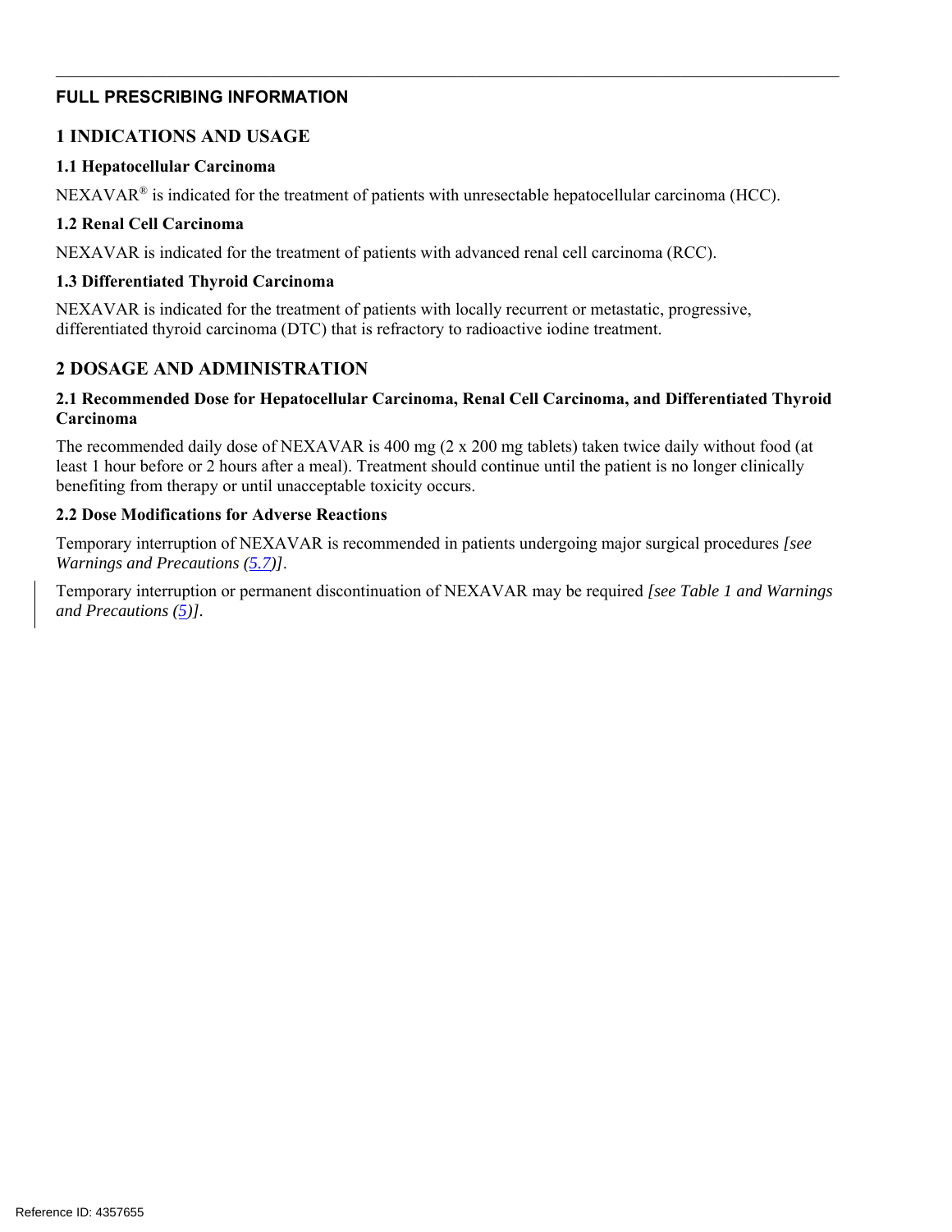# **FULL PRESCRIBING INFORMATION**

# **1 INDICATIONS AND USAGE**

### **1.1 Hepatocellular Carcinoma**

 $NEXAVAR<sup>®</sup>$  is indicated for the treatment of patients with unresectable hepatocellular carcinoma (HCC).

#### **1.2 Renal Cell Carcinoma**

NEXAVAR is indicated for the treatment of patients with advanced renal cell carcinoma (RCC).

### **1.3 Differentiated Thyroid Carcinoma**

NEXAVAR is indicated for the treatment of patients with locally recurrent or metastatic, progressive, differentiated thyroid carcinoma (DTC) that is refractory to radioactive iodine treatment.

# **2 DOSAGE AND ADMINISTRATION**

### **2.1 Recommended Dose for Hepatocellular Carcinoma, Renal Cell Carcinoma, and Differentiated Thyroid Carcinoma**

The recommended daily dose of NEXAVAR is 400 mg (2 x 200 mg tablets) taken twice daily without food (at least 1 hour before or 2 hours after a meal). Treatment should continue until the patient is no longer clinically benefiting from therapy or until unacceptable toxicity occurs.

### **2.2 Dose Modifications for Adverse Reactions**

Temporary interruption of NEXAVAR is recommended in patients undergoing major surgical procedures *[see Warnings and Precautions (5.7)]*.

Temporary interruption or permanent discontinuation of NEXAVAR may be required *[see Table 1 and Warnings and Precautions (5)].*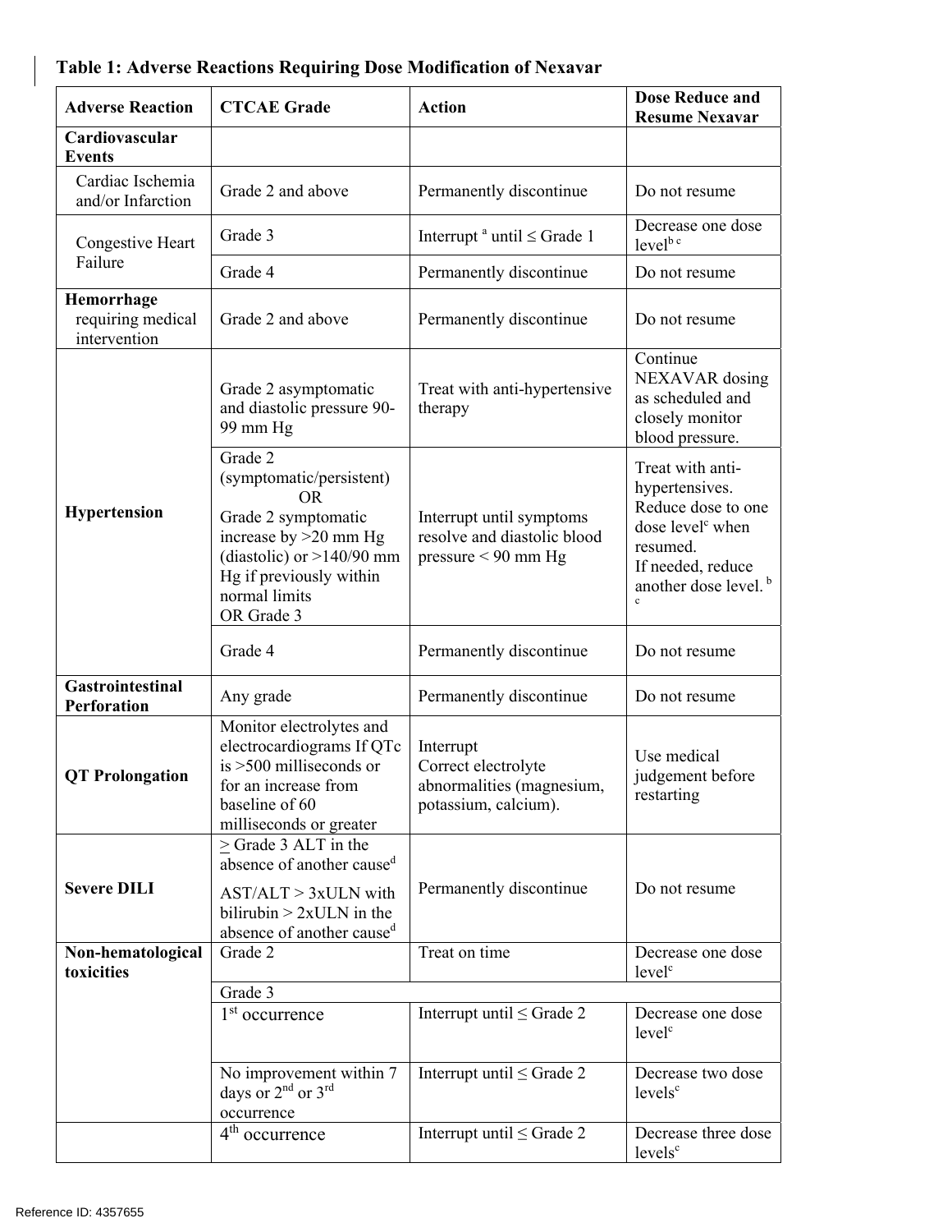| <b>Adverse Reaction</b>                                                                                                                                                           | <b>CTCAE Grade</b>                                                                                                                                                                          | <b>Action</b>                                                                         | <b>Dose Reduce and</b><br><b>Resume Nexavar</b>                                                                                                                               |
|-----------------------------------------------------------------------------------------------------------------------------------------------------------------------------------|---------------------------------------------------------------------------------------------------------------------------------------------------------------------------------------------|---------------------------------------------------------------------------------------|-------------------------------------------------------------------------------------------------------------------------------------------------------------------------------|
| Cardiovascular<br><b>Events</b>                                                                                                                                                   |                                                                                                                                                                                             |                                                                                       |                                                                                                                                                                               |
| Cardiac Ischemia<br>and/or Infarction                                                                                                                                             | Grade 2 and above                                                                                                                                                                           | Permanently discontinue                                                               | Do not resume                                                                                                                                                                 |
| Congestive Heart                                                                                                                                                                  | Grade 3                                                                                                                                                                                     | Interrupt $a$ until $\leq$ Grade 1                                                    | Decrease one dose<br>level <sup>b c</sup>                                                                                                                                     |
| Failure                                                                                                                                                                           | Grade 4                                                                                                                                                                                     | Permanently discontinue                                                               | Do not resume                                                                                                                                                                 |
| Hemorrhage<br>requiring medical<br>intervention                                                                                                                                   | Grade 2 and above                                                                                                                                                                           | Permanently discontinue                                                               | Do not resume                                                                                                                                                                 |
|                                                                                                                                                                                   | Grade 2 asymptomatic<br>and diastolic pressure 90-<br>99 mm Hg                                                                                                                              | Treat with anti-hypertensive<br>therapy                                               | Continue<br>NEXAVAR dosing<br>as scheduled and<br>closely monitor<br>blood pressure.                                                                                          |
| <b>Hypertension</b>                                                                                                                                                               | Grade 2<br>(symptomatic/persistent)<br><b>OR</b><br>Grade 2 symptomatic<br>increase by $>20$ mm Hg<br>(diastolic) or $>140/90$ mm<br>Hg if previously within<br>normal limits<br>OR Grade 3 | Interrupt until symptoms<br>resolve and diastolic blood<br>pressure $< 90$ mm Hg      | Treat with anti-<br>hypertensives.<br>Reduce dose to one<br>dose level <sup>c</sup> when<br>resumed.<br>If needed, reduce<br>another dose level. <sup>b</sup><br>$\mathbf{c}$ |
|                                                                                                                                                                                   | Grade 4                                                                                                                                                                                     | Permanently discontinue                                                               | Do not resume                                                                                                                                                                 |
| <b>Gastrointestinal</b><br>Perforation                                                                                                                                            | Any grade                                                                                                                                                                                   | Permanently discontinue                                                               | Do not resume                                                                                                                                                                 |
| Monitor electrolytes and<br>electrocardiograms If QTc<br>is $>500$ milliseconds or<br><b>QT</b> Prolongation<br>for an increase from<br>baseline of 60<br>milliseconds or greater |                                                                                                                                                                                             | Interrupt<br>Correct electrolyte<br>abnormalities (magnesium,<br>potassium, calcium). | Use medical<br>judgement before<br>restarting                                                                                                                                 |
| <b>Severe DILI</b>                                                                                                                                                                | > Grade 3 ALT in the<br>absence of another cause <sup>d</sup><br>$AST/ALT > 3xULN$ with<br>bilirubin $> 2x$ ULN in the<br>absence of another caused                                         | Permanently discontinue                                                               | Do not resume                                                                                                                                                                 |
| Grade 2<br>Non-hematological                                                                                                                                                      |                                                                                                                                                                                             | Treat on time                                                                         | Decrease one dose                                                                                                                                                             |
| toxicities                                                                                                                                                                        | Grade 3                                                                                                                                                                                     |                                                                                       | level <sup>c</sup>                                                                                                                                                            |
|                                                                                                                                                                                   | 1 <sup>st</sup> occurrence                                                                                                                                                                  | Interrupt until $\leq$ Grade 2                                                        | Decrease one dose<br>level <sup>c</sup>                                                                                                                                       |
|                                                                                                                                                                                   | No improvement within 7<br>days or 2 <sup>nd</sup> or 3 <sup>rd</sup><br>occurrence                                                                                                         | Interrupt until $\leq$ Grade 2                                                        | Decrease two dose<br>levels <sup>c</sup>                                                                                                                                      |
|                                                                                                                                                                                   | 4 <sup>th</sup> occurrence                                                                                                                                                                  | Interrupt until $\leq$ Grade 2                                                        | Decrease three dose<br>levels <sup>c</sup>                                                                                                                                    |

# **Table 1: Adverse Reactions Requiring Dose Modification of Nexavar**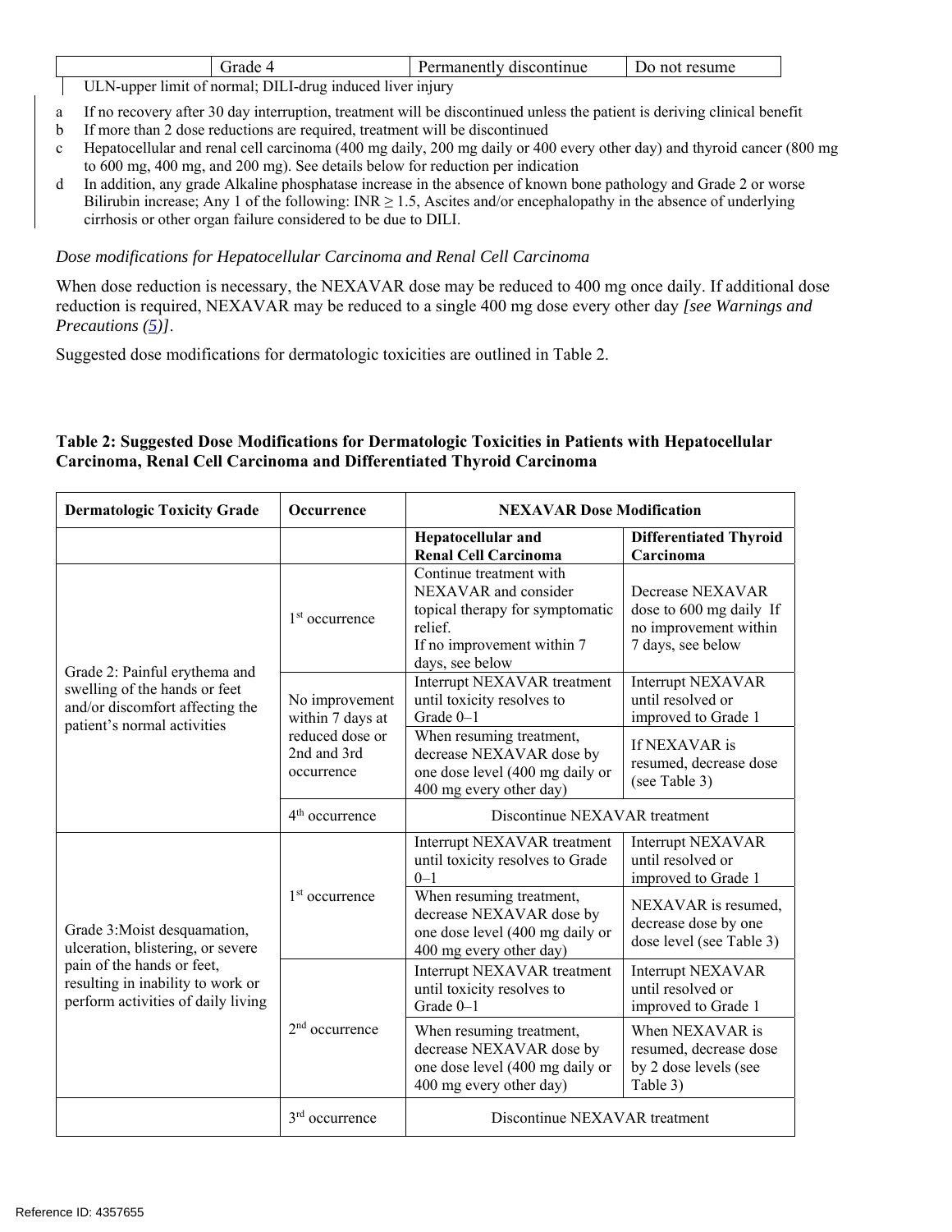|                | -     | ontinue<br>пянс<br>enur<br>sco | resume<br>no<br>,,, |
|----------------|-------|--------------------------------|---------------------|
| <b>TTT 3 T</b> | T T T |                                |                     |

ULN-upper limit of normal; DILI-drug induced liver injury

- a If no recovery after 30 day interruption, treatment will be discontinued unless the patient is deriving clinical benefit
- b If more than 2 dose reductions are required, treatment will be discontinued
- c Hepatocellular and renal cell carcinoma (400 mg daily, 200 mg daily or 400 every other day) and thyroid cancer (800 mg to 600 mg, 400 mg, and 200 mg). See details below for reduction per indication
- d In addition, any grade Alkaline phosphatase increase in the absence of known bone pathology and Grade 2 or worse Bilirubin increase; Any 1 of the following:  $INR \ge 1.5$ , Ascites and/or encephalopathy in the absence of underlying cirrhosis or other organ failure considered to be due to DILI.

#### *Dose modifications for Hepatocellular Carcinoma and Renal Cell Carcinoma*

When dose reduction is necessary, the NEXAVAR dose may be reduced to 400 mg once daily. If additional dose reduction is required, NEXAVAR may be reduced to a single 400 mg dose every other day *[see Warnings and Precautions (5)]*.

Suggested dose modifications for dermatologic toxicities are outlined in Table 2.

### **Table 2: Suggested Dose Modifications for Dermatologic Toxicities in Patients with Hepatocellular Carcinoma, Renal Cell Carcinoma and Differentiated Thyroid Carcinoma**

| <b>Dermatologic Toxicity Grade</b>                                                                                               | <b>Occurrence</b>                            | <b>NEXAVAR Dose Modification</b>                                                                                                               |                                                                                           |  |
|----------------------------------------------------------------------------------------------------------------------------------|----------------------------------------------|------------------------------------------------------------------------------------------------------------------------------------------------|-------------------------------------------------------------------------------------------|--|
|                                                                                                                                  |                                              | <b>Hepatocellular and</b><br><b>Renal Cell Carcinoma</b>                                                                                       | <b>Differentiated Thyroid</b><br>Carcinoma                                                |  |
|                                                                                                                                  | $1st$ occurrence                             | Continue treatment with<br>NEXAVAR and consider<br>topical therapy for symptomatic<br>relief.<br>If no improvement within 7<br>days, see below | Decrease NEXAVAR<br>dose to 600 mg daily If<br>no improvement within<br>7 days, see below |  |
| Grade 2: Painful erythema and<br>swelling of the hands or feet<br>and/or discomfort affecting the<br>patient's normal activities | No improvement<br>within 7 days at           | Interrupt NEXAVAR treatment<br>until toxicity resolves to<br>Grade 0-1                                                                         | Interrupt NEXAVAR<br>until resolved or<br>improved to Grade 1                             |  |
|                                                                                                                                  | reduced dose or<br>2nd and 3rd<br>occurrence | When resuming treatment,<br>decrease NEXAVAR dose by<br>one dose level (400 mg daily or<br>400 mg every other day)                             | If NEXAVAR is<br>resumed, decrease dose<br>(see Table 3)                                  |  |
|                                                                                                                                  | $4th$ occurrence                             | Discontinue NEXAVAR treatment                                                                                                                  |                                                                                           |  |
|                                                                                                                                  |                                              | Interrupt NEXAVAR treatment<br>until toxicity resolves to Grade<br>$0 - 1$                                                                     | <b>Interrupt NEXAVAR</b><br>until resolved or<br>improved to Grade 1                      |  |
| Grade 3: Moist desquamation,<br>ulceration, blistering, or severe                                                                | 1 <sup>st</sup> occurrence                   | When resuming treatment,<br>decrease NEXAVAR dose by<br>one dose level (400 mg daily or<br>400 mg every other day)                             | NEXAVAR is resumed,<br>decrease dose by one<br>dose level (see Table 3)                   |  |
| pain of the hands or feet,<br>resulting in inability to work or<br>perform activities of daily living                            |                                              | Interrupt NEXAVAR treatment<br>until toxicity resolves to<br>Grade 0-1                                                                         | <b>Interrupt NEXAVAR</b><br>until resolved or<br>improved to Grade 1                      |  |
|                                                                                                                                  | $2nd$ occurrence                             | When resuming treatment,<br>decrease NEXAVAR dose by<br>one dose level (400 mg daily or<br>400 mg every other day)                             | When NEXAVAR is<br>resumed, decrease dose<br>by 2 dose levels (see<br>Table 3)            |  |
|                                                                                                                                  | $3rd$ occurrence                             | Discontinue NEXAVAR treatment                                                                                                                  |                                                                                           |  |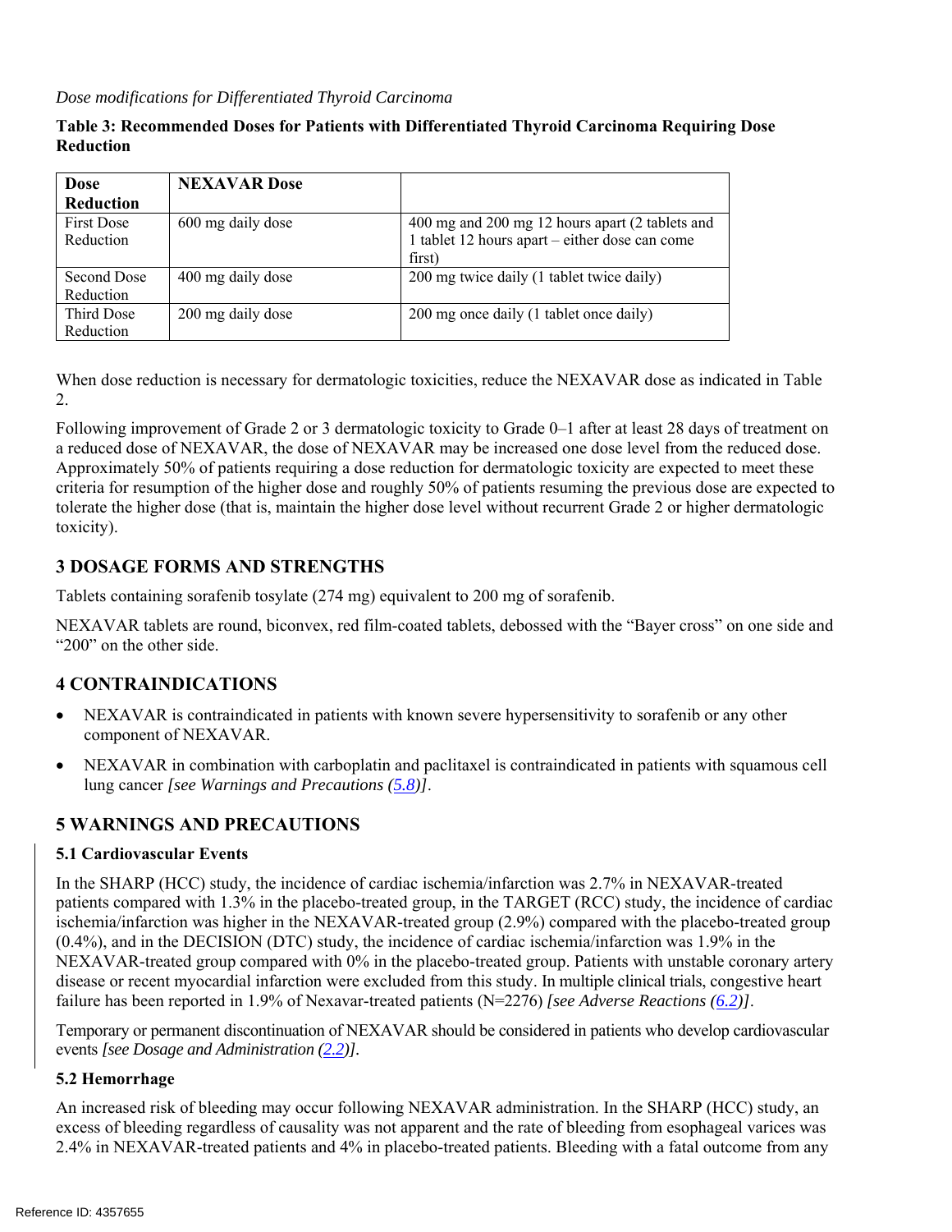#### *Dose modifications for Differentiated Thyroid Carcinoma*

#### **Table 3: Recommended Doses for Patients with Differentiated Thyroid Carcinoma Requiring Dose Reduction**

| <b>Dose</b>       | <b>NEXAVAR</b> Dose |                                                 |
|-------------------|---------------------|-------------------------------------------------|
| Reduction         |                     |                                                 |
| <b>First Dose</b> | 600 mg daily dose   | 400 mg and 200 mg 12 hours apart (2 tablets and |
| Reduction         |                     | 1 tablet 12 hours apart – either dose can come  |
|                   |                     | first)                                          |
| Second Dose       | 400 mg daily dose   | 200 mg twice daily (1 tablet twice daily)       |
| Reduction         |                     |                                                 |
| Third Dose        | 200 mg daily dose   | 200 mg once daily (1 tablet once daily)         |
| Reduction         |                     |                                                 |

When dose reduction is necessary for dermatologic toxicities, reduce the NEXAVAR dose as indicated in Table 2.

Following improvement of Grade 2 or 3 dermatologic toxicity to Grade 0–1 after at least 28 days of treatment on a reduced dose of NEXAVAR, the dose of NEXAVAR may be increased one dose level from the reduced dose. Approximately 50% of patients requiring a dose reduction for dermatologic toxicity are expected to meet these criteria for resumption of the higher dose and roughly 50% of patients resuming the previous dose are expected to tolerate the higher dose (that is, maintain the higher dose level without recurrent Grade 2 or higher dermatologic toxicity).

# **3 DOSAGE FORMS AND STRENGTHS**

Tablets containing sorafenib tosylate (274 mg) equivalent to 200 mg of sorafenib.

NEXAVAR tablets are round, biconvex, red film-coated tablets, debossed with the "Bayer cross" on one side and "200" on the other side.

# **4 CONTRAINDICATIONS**

- NEXAVAR is contraindicated in patients with known severe hypersensitivity to sorafenib or any other component of NEXAVAR.
- NEXAVAR in combination with carboplatin and paclitaxel is contraindicated in patients with squamous cell lung cancer *[see Warnings and Precautions (5.8)]*.

# **5 WARNINGS AND PRECAUTIONS**

#### **5.1 Cardiovascular Events**

In the SHARP (HCC) study, the incidence of cardiac ischemia/infarction was 2.7% in NEXAVAR-treated patients compared with 1.3% in the placebo-treated group, in the TARGET (RCC) study, the incidence of cardiac ischemia/infarction was higher in the NEXAVAR-treated group (2.9%) compared with the placebo-treated group (0.4%), and in the DECISION (DTC) study, the incidence of cardiac ischemia/infarction was 1.9% in the NEXAVAR-treated group compared with 0% in the placebo-treated group. Patients with unstable coronary artery disease or recent myocardial infarction were excluded from this study. In multiple clinical trials, congestive heart failure has been reported in 1.9% of Nexavar-treated patients (N=2276) *[see Adverse Reactions (6.2)]*.

Temporary or permanent discontinuation of NEXAVAR should be considered in patients who develop cardiovascular events *[see Dosage and Administration (2.2)].*

#### **5.2 Hemorrhage**

An increased risk of bleeding may occur following NEXAVAR administration. In the SHARP (HCC) study, an excess of bleeding regardless of causality was not apparent and the rate of bleeding from esophageal varices was 2.4% in NEXAVAR-treated patients and 4% in placebo-treated patients. Bleeding with a fatal outcome from any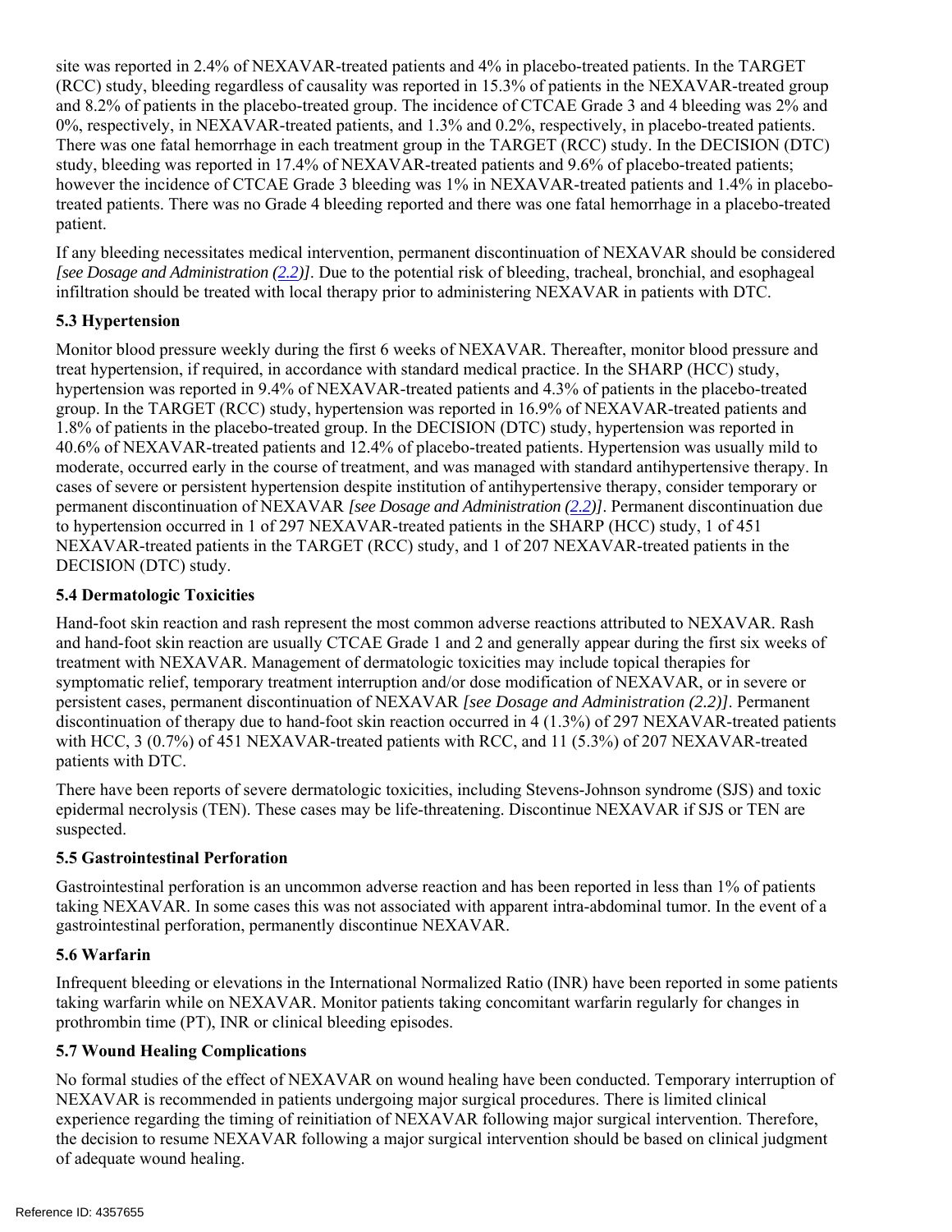site was reported in 2.4% of NEXAVAR-treated patients and 4% in placebo-treated patients. In the TARGET (RCC) study, bleeding regardless of causality was reported in 15.3% of patients in the NEXAVAR-treated group and 8.2% of patients in the placebo-treated group. The incidence of CTCAE Grade 3 and 4 bleeding was 2% and 0%, respectively, in NEXAVAR-treated patients, and 1.3% and 0.2%, respectively, in placebo-treated patients. There was one fatal hemorrhage in each treatment group in the TARGET (RCC) study. In the DECISION (DTC) study, bleeding was reported in 17.4% of NEXAVAR-treated patients and 9.6% of placebo-treated patients; however the incidence of CTCAE Grade 3 bleeding was 1% in NEXAVAR-treated patients and 1.4% in placebotreated patients. There was no Grade 4 bleeding reported and there was one fatal hemorrhage in a placebo-treated patient.

If any bleeding necessitates medical intervention, permanent discontinuation of NEXAVAR should be considered *[see Dosage and Administration (2.2)]*. Due to the potential risk of bleeding, tracheal, bronchial, and esophageal infiltration should be treated with local therapy prior to administering NEXAVAR in patients with DTC.

# **5.3 Hypertension**

Monitor blood pressure weekly during the first 6 weeks of NEXAVAR. Thereafter, monitor blood pressure and treat hypertension, if required, in accordance with standard medical practice. In the SHARP (HCC) study, hypertension was reported in 9.4% of NEXAVAR-treated patients and 4.3% of patients in the placebo-treated group. In the TARGET (RCC) study, hypertension was reported in 16.9% of NEXAVAR-treated patients and 1.8% of patients in the placebo-treated group. In the DECISION (DTC) study, hypertension was reported in 40.6% of NEXAVAR-treated patients and 12.4% of placebo-treated patients. Hypertension was usually mild to moderate, occurred early in the course of treatment, and was managed with standard antihypertensive therapy. In cases of severe or persistent hypertension despite institution of antihypertensive therapy, consider temporary or permanent discontinuation of NEXAVAR *[see Dosage and Administration (2.2)]*. Permanent discontinuation due to hypertension occurred in 1 of 297 NEXAVAR-treated patients in the SHARP (HCC) study, 1 of 451 NEXAVAR-treated patients in the TARGET (RCC) study, and 1 of 207 NEXAVAR-treated patients in the DECISION (DTC) study.

# **5.4 Dermatologic Toxicities**

Hand-foot skin reaction and rash represent the most common adverse reactions attributed to NEXAVAR. Rash and hand-foot skin reaction are usually CTCAE Grade 1 and 2 and generally appear during the first six weeks of treatment with NEXAVAR. Management of dermatologic toxicities may include topical therapies for symptomatic relief, temporary treatment interruption and/or dose modification of NEXAVAR, or in severe or persistent cases, permanent discontinuation of NEXAVAR *[see Dosage and Administration (2.2)]*. Permanent discontinuation of therapy due to hand-foot skin reaction occurred in 4 (1.3%) of 297 NEXAVAR-treated patients with HCC, 3 (0.7%) of 451 NEXAVAR-treated patients with RCC, and 11 (5.3%) of 207 NEXAVAR-treated patients with DTC.

There have been reports of severe dermatologic toxicities, including Stevens-Johnson syndrome (SJS) and toxic epidermal necrolysis (TEN). These cases may be life-threatening. Discontinue NEXAVAR if SJS or TEN are suspected.

# **5.5 Gastrointestinal Perforation**

Gastrointestinal perforation is an uncommon adverse reaction and has been reported in less than 1% of patients taking NEXAVAR. In some cases this was not associated with apparent intra-abdominal tumor. In the event of a gastrointestinal perforation, permanently discontinue NEXAVAR.

# **5.6 Warfarin**

Infrequent bleeding or elevations in the International Normalized Ratio (INR) have been reported in some patients taking warfarin while on NEXAVAR. Monitor patients taking concomitant warfarin regularly for changes in prothrombin time (PT), INR or clinical bleeding episodes.

#### **5.7 Wound Healing Complications**

No formal studies of the effect of NEXAVAR on wound healing have been conducted. Temporary interruption of NEXAVAR is recommended in patients undergoing major surgical procedures. There is limited clinical experience regarding the timing of reinitiation of NEXAVAR following major surgical intervention. Therefore, the decision to resume NEXAVAR following a major surgical intervention should be based on clinical judgment of adequate wound healing.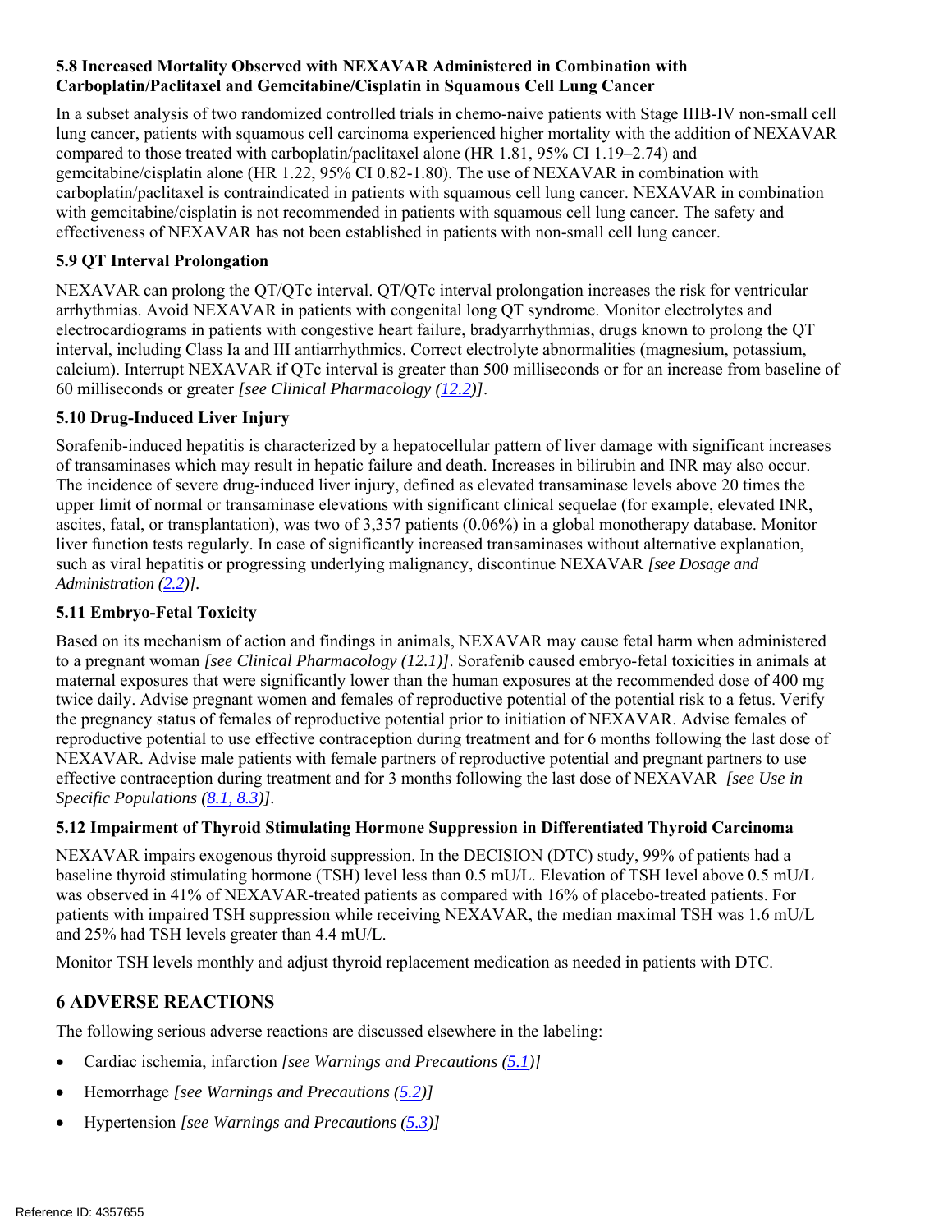# **5.8 Increased Mortality Observed with NEXAVAR Administered in Combination with Carboplatin/Paclitaxel and Gemcitabine/Cisplatin in Squamous Cell Lung Cancer**

In a subset analysis of two randomized controlled trials in chemo-naive patients with Stage IIIB-IV non-small cell lung cancer, patients with squamous cell carcinoma experienced higher mortality with the addition of NEXAVAR compared to those treated with carboplatin/paclitaxel alone (HR 1.81, 95% CI 1.19–2.74) and gemcitabine/cisplatin alone (HR 1.22, 95% CI 0.82-1.80). The use of NEXAVAR in combination with carboplatin/paclitaxel is contraindicated in patients with squamous cell lung cancer. NEXAVAR in combination with gemcitabine/cisplatin is not recommended in patients with squamous cell lung cancer. The safety and effectiveness of NEXAVAR has not been established in patients with non-small cell lung cancer.

# **5.9 QT Interval Prolongation**

NEXAVAR can prolong the QT/QTc interval. QT/QTc interval prolongation increases the risk for ventricular arrhythmias. Avoid NEXAVAR in patients with congenital long QT syndrome. Monitor electrolytes and electrocardiograms in patients with congestive heart failure, bradyarrhythmias, drugs known to prolong the QT interval, including Class Ia and III antiarrhythmics. Correct electrolyte abnormalities (magnesium, potassium, calcium). Interrupt NEXAVAR if QTc interval is greater than 500 milliseconds or for an increase from baseline of 60 milliseconds or greater *[see Clinical Pharmacology (12.2)]*.

# **5.10 Drug-Induced Liver Injury**

Sorafenib-induced hepatitis is characterized by a hepatocellular pattern of liver damage with significant increases of transaminases which may result in hepatic failure and death. Increases in bilirubin and INR may also occur. The incidence of severe drug-induced liver injury, defined as elevated transaminase levels above 20 times the upper limit of normal or transaminase elevations with significant clinical sequelae (for example, elevated INR, ascites, fatal, or transplantation), was two of 3,357 patients (0.06%) in a global monotherapy database. Monitor liver function tests regularly. In case of significantly increased transaminases without alternative explanation, such as viral hepatitis or progressing underlying malignancy, discontinue NEXAVAR *[see Dosage and Administration (2.2)].*

# **5.11 Embryo-Fetal Toxicity**

Based on its mechanism of action and findings in animals, NEXAVAR may cause fetal harm when administered to a pregnant woman *[see Clinical Pharmacology (12.1)]*. Sorafenib caused embryo-fetal toxicities in animals at maternal exposures that were significantly lower than the human exposures at the recommended dose of 400 mg twice daily. Advise pregnant women and females of reproductive potential of the potential risk to a fetus. Verify the pregnancy status of females of reproductive potential prior to initiation of NEXAVAR. Advise females of reproductive potential to use effective contraception during treatment and for 6 months following the last dose of NEXAVAR. Advise male patients with female partners of reproductive potential and pregnant partners to use effective contraception during treatment and for 3 months following the last dose of NEXAVAR *[see Use in Specific Populations (8.1, 8.3)].* 

# **5.12 Impairment of Thyroid Stimulating Hormone Suppression in Differentiated Thyroid Carcinoma**

NEXAVAR impairs exogenous thyroid suppression. In the DECISION (DTC) study, 99% of patients had a baseline thyroid stimulating hormone (TSH) level less than 0.5 mU/L. Elevation of TSH level above 0.5 mU/L was observed in 41% of NEXAVAR-treated patients as compared with 16% of placebo-treated patients. For patients with impaired TSH suppression while receiving NEXAVAR, the median maximal TSH was 1.6 mU/L and 25% had TSH levels greater than 4.4 mU/L.

Monitor TSH levels monthly and adjust thyroid replacement medication as needed in patients with DTC.

# **6 ADVERSE REACTIONS**

The following serious adverse reactions are discussed elsewhere in the labeling:

- Cardiac ischemia, infarction *[see Warnings and Precautions (5.1)]*
- Hemorrhage *[see Warnings and Precautions (5.2)]*
- Hypertension *[see Warnings and Precautions (5.3)]*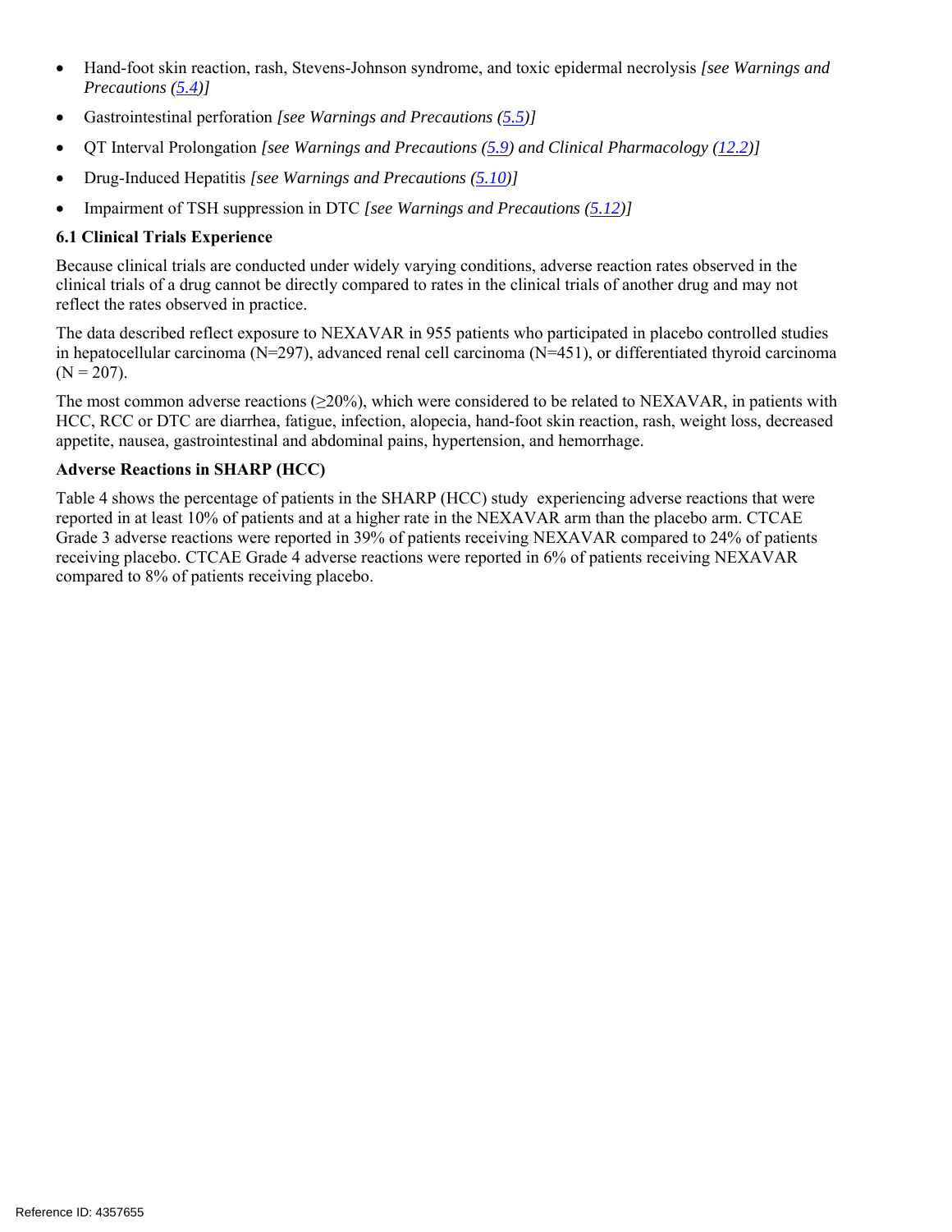- Hand-foot skin reaction, rash, Stevens-Johnson syndrome, and toxic epidermal necrolysis *[see Warnings and Precautions (5.4)]*
- Gastrointestinal perforation *[see Warnings and Precautions (5.5)]*
- QT Interval Prolongation *[see Warnings and Precautions (5.9) and Clinical Pharmacology (12.2)]*
- Drug-Induced Hepatitis *[see Warnings and Precautions (5.10)]*
- Impairment of TSH suppression in DTC *[see Warnings and Precautions (5.12)]*

# **6.1 Clinical Trials Experience**

Because clinical trials are conducted under widely varying conditions, adverse reaction rates observed in the clinical trials of a drug cannot be directly compared to rates in the clinical trials of another drug and may not reflect the rates observed in practice.

The data described reflect exposure to NEXAVAR in 955 patients who participated in placebo controlled studies in hepatocellular carcinoma (N=297), advanced renal cell carcinoma (N=451), or differentiated thyroid carcinoma  $(N = 207)$ .

The most common adverse reactions  $(\geq 20\%)$ , which were considered to be related to NEXAVAR, in patients with HCC, RCC or DTC are diarrhea, fatigue, infection, alopecia, hand-foot skin reaction, rash, weight loss, decreased appetite, nausea, gastrointestinal and abdominal pains, hypertension, and hemorrhage.

# **Adverse Reactions in SHARP (HCC)**

Table 4 shows the percentage of patients in the SHARP (HCC) study experiencing adverse reactions that were reported in at least 10% of patients and at a higher rate in the NEXAVAR arm than the placebo arm. CTCAE Grade 3 adverse reactions were reported in 39% of patients receiving NEXAVAR compared to 24% of patients receiving placebo. CTCAE Grade 4 adverse reactions were reported in 6% of patients receiving NEXAVAR compared to 8% of patients receiving placebo.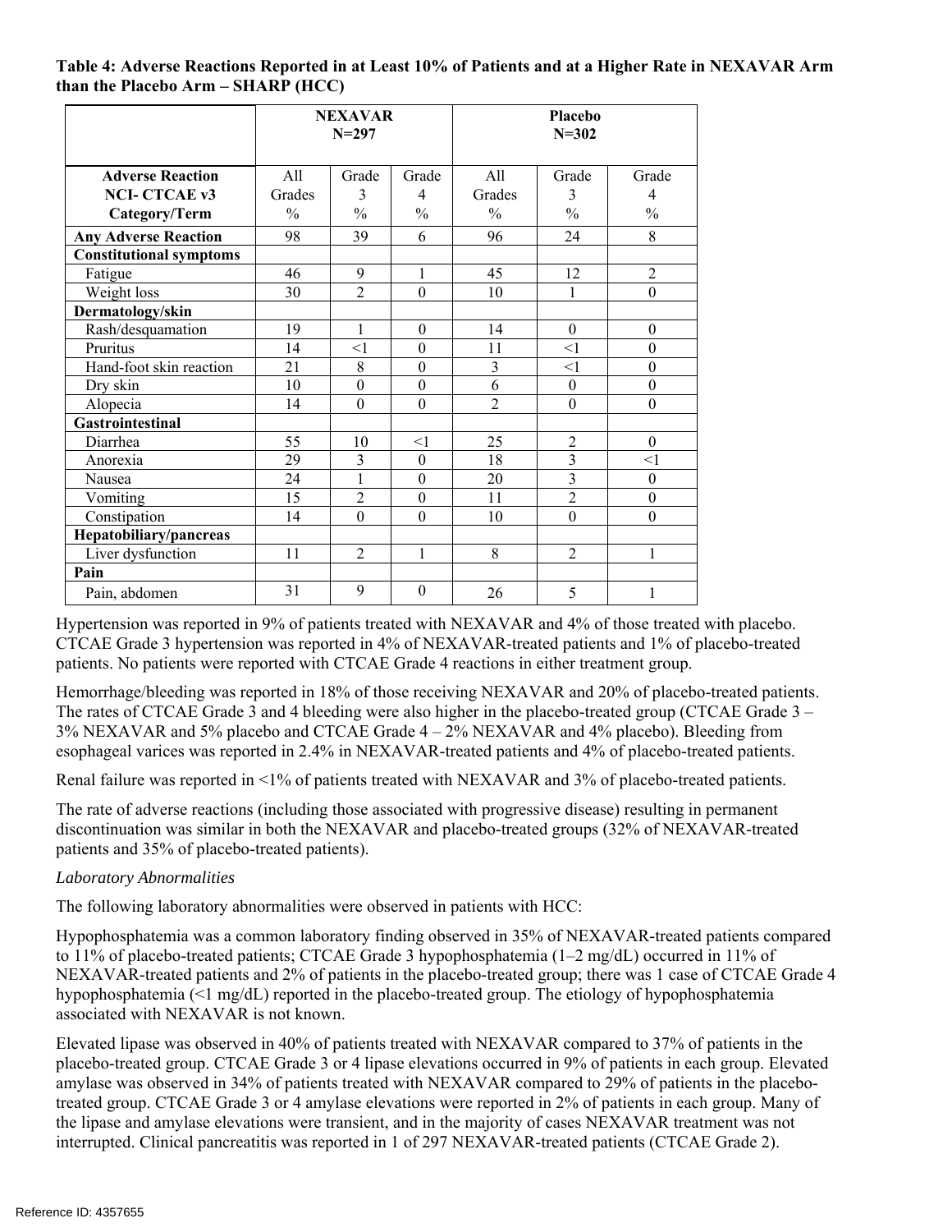#### **Table 4: Adverse Reactions Reported in at Least 10% of Patients and at a Higher Rate in NEXAVAR Arm than the Placebo Arm – SHARP (HCC)**

|                                | <b>NEXAVAR</b><br>$N = 297$ |                  | Placebo<br>$N = 302$ |                |                  |                  |
|--------------------------------|-----------------------------|------------------|----------------------|----------------|------------------|------------------|
| <b>Adverse Reaction</b>        | All                         | Grade            | Grade                | A11            | Grade            | Grade            |
| <b>NCI-CTCAE v3</b>            | Grades                      | 3                | 4                    | Grades         | 3                | $\overline{4}$   |
| Category/Term                  | $\frac{0}{0}$               | $\frac{0}{0}$    | $\frac{0}{0}$        | $\frac{0}{0}$  | $\frac{0}{0}$    | $\frac{0}{0}$    |
| <b>Any Adverse Reaction</b>    | 98                          | 39               | 6                    | 96             | 24               | 8                |
| <b>Constitutional symptoms</b> |                             |                  |                      |                |                  |                  |
| Fatigue                        | 46                          | 9                | 1                    | 45             | 12               | $\overline{2}$   |
| Weight loss                    | 30                          | $\overline{2}$   | $\theta$             | 10             | 1                | $\mathbf{0}$     |
| Dermatology/skin               |                             |                  |                      |                |                  |                  |
| Rash/desquamation              | 19                          | 1                | $\theta$             | 14             | $\theta$         | $\boldsymbol{0}$ |
| Pruritus                       | 14                          | $<$ 1            | $\theta$             | 11             | $<$ 1            | $\theta$         |
| Hand-foot skin reaction        | 21                          | 8                | $\theta$             | 3              | $\leq$ 1         | $\boldsymbol{0}$ |
| Dry skin                       | 10                          | $\boldsymbol{0}$ | $\boldsymbol{0}$     | 6              | $\boldsymbol{0}$ | $\boldsymbol{0}$ |
| Alopecia                       | 14                          | $\overline{0}$   | $\overline{0}$       | $\overline{2}$ | $\mathbf{0}$     | $\mathbf{0}$     |
| <b>Gastrointestinal</b>        |                             |                  |                      |                |                  |                  |
| Diarrhea                       | 55                          | 10               | <1                   | 25             | $\overline{2}$   | $\theta$         |
| Anorexia                       | 29                          | 3                | $\theta$             | 18             | $\overline{3}$   | $<$ 1            |
| Nausea                         | 24                          | 1                | $\mathbf{0}$         | 20             | $\overline{3}$   | $\mathbf{0}$     |
| Vomiting                       | 15                          | $\overline{c}$   | $\theta$             | 11             | $\overline{2}$   | $\theta$         |
| Constipation                   | 14                          | $\overline{0}$   | $\theta$             | 10             | $\boldsymbol{0}$ | $\boldsymbol{0}$ |
| Hepatobiliary/pancreas         |                             |                  |                      |                |                  |                  |
| Liver dysfunction              | 11                          | $\overline{2}$   | 1                    | 8              | $\mathfrak{D}$   | 1                |
| Pain                           |                             |                  |                      |                |                  |                  |
| Pain, abdomen                  | 31                          | 9                | $\theta$             | 26             | 5                | 1                |

Hypertension was reported in 9% of patients treated with NEXAVAR and 4% of those treated with placebo. CTCAE Grade 3 hypertension was reported in 4% of NEXAVAR-treated patients and 1% of placebo-treated patients. No patients were reported with CTCAE Grade 4 reactions in either treatment group.

Hemorrhage/bleeding was reported in 18% of those receiving NEXAVAR and 20% of placebo-treated patients. The rates of CTCAE Grade 3 and 4 bleeding were also higher in the placebo-treated group (CTCAE Grade 3 – 3% NEXAVAR and 5% placebo and CTCAE Grade 4 – 2% NEXAVAR and 4% placebo). Bleeding from esophageal varices was reported in 2.4% in NEXAVAR-treated patients and 4% of placebo-treated patients.

Renal failure was reported in <1% of patients treated with NEXAVAR and 3% of placebo-treated patients.

The rate of adverse reactions (including those associated with progressive disease) resulting in permanent discontinuation was similar in both the NEXAVAR and placebo-treated groups (32% of NEXAVAR-treated patients and 35% of placebo-treated patients).

# *Laboratory Abnormalities*

The following laboratory abnormalities were observed in patients with HCC:

Hypophosphatemia was a common laboratory finding observed in 35% of NEXAVAR-treated patients compared to 11% of placebo-treated patients; CTCAE Grade 3 hypophosphatemia (1–2 mg/dL) occurred in 11% of NEXAVAR-treated patients and 2% of patients in the placebo-treated group; there was 1 case of CTCAE Grade 4 hypophosphatemia (<1 mg/dL) reported in the placebo-treated group. The etiology of hypophosphatemia associated with NEXAVAR is not known.

Elevated lipase was observed in 40% of patients treated with NEXAVAR compared to 37% of patients in the placebo-treated group. CTCAE Grade 3 or 4 lipase elevations occurred in 9% of patients in each group. Elevated amylase was observed in 34% of patients treated with NEXAVAR compared to 29% of patients in the placebotreated group. CTCAE Grade 3 or 4 amylase elevations were reported in 2% of patients in each group. Many of the lipase and amylase elevations were transient, and in the majority of cases NEXAVAR treatment was not interrupted. Clinical pancreatitis was reported in 1 of 297 NEXAVAR-treated patients (CTCAE Grade 2).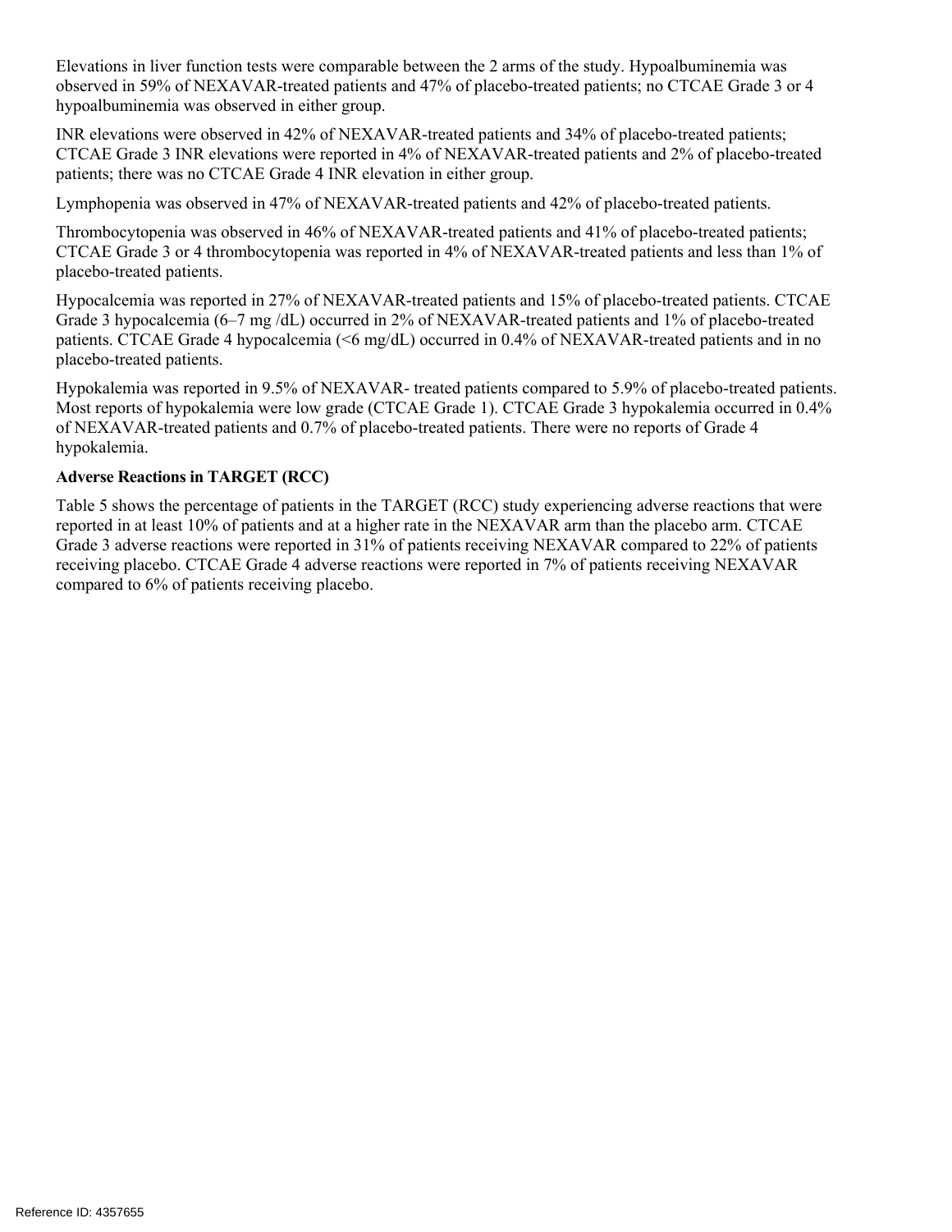Elevations in liver function tests were comparable between the 2 arms of the study. Hypoalbuminemia was observed in 59% of NEXAVAR-treated patients and 47% of placebo-treated patients; no CTCAE Grade 3 or 4 hypoalbuminemia was observed in either group.

INR elevations were observed in 42% of NEXAVAR-treated patients and 34% of placebo-treated patients; CTCAE Grade 3 INR elevations were reported in 4% of NEXAVAR-treated patients and 2% of placebo-treated patients; there was no CTCAE Grade 4 INR elevation in either group.

Lymphopenia was observed in 47% of NEXAVAR-treated patients and 42% of placebo-treated patients.

Thrombocytopenia was observed in 46% of NEXAVAR-treated patients and 41% of placebo-treated patients; CTCAE Grade 3 or 4 thrombocytopenia was reported in 4% of NEXAVAR-treated patients and less than 1% of placebo-treated patients.

Hypocalcemia was reported in 27% of NEXAVAR-treated patients and 15% of placebo-treated patients. CTCAE Grade 3 hypocalcemia (6–7 mg /dL) occurred in 2% of NEXAVAR-treated patients and 1% of placebo-treated patients. CTCAE Grade 4 hypocalcemia (<6 mg/dL) occurred in 0.4% of NEXAVAR-treated patients and in no placebo-treated patients.

Hypokalemia was reported in 9.5% of NEXAVAR- treated patients compared to 5.9% of placebo-treated patients. Most reports of hypokalemia were low grade (CTCAE Grade 1). CTCAE Grade 3 hypokalemia occurred in 0.4% of NEXAVAR-treated patients and 0.7% of placebo-treated patients. There were no reports of Grade 4 hypokalemia.

### **Adverse Reactions in TARGET (RCC)**

Table 5 shows the percentage of patients in the TARGET (RCC) study experiencing adverse reactions that were reported in at least 10% of patients and at a higher rate in the NEXAVAR arm than the placebo arm. CTCAE Grade 3 adverse reactions were reported in 31% of patients receiving NEXAVAR compared to 22% of patients receiving placebo. CTCAE Grade 4 adverse reactions were reported in 7% of patients receiving NEXAVAR compared to 6% of patients receiving placebo.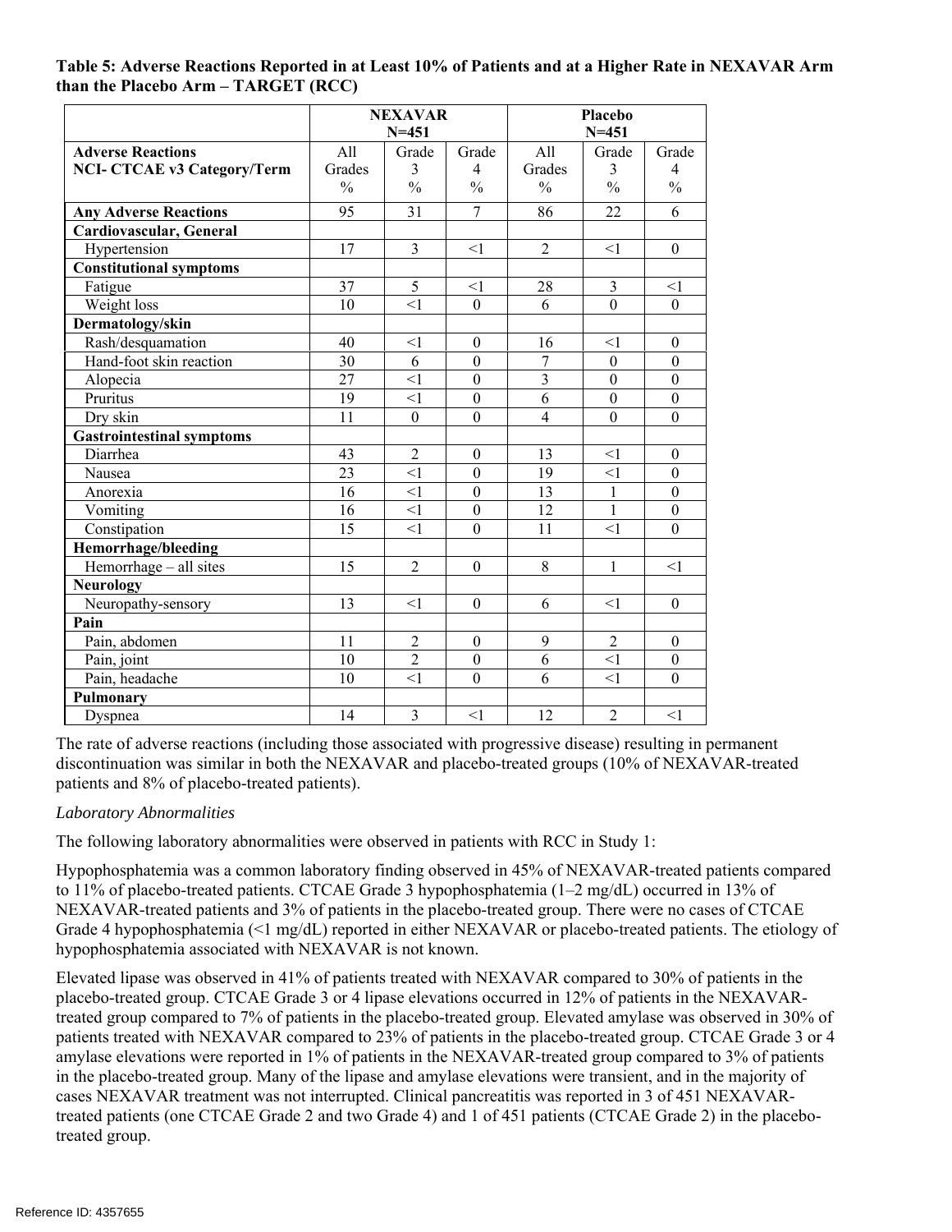#### **Table 5: Adverse Reactions Reported in at Least 10% of Patients and at a Higher Rate in NEXAVAR Arm than the Placebo Arm – TARGET (RCC)**

|                                    | <b>NEXAVAR</b><br>$N = 451$ |                  |                  | <b>Placebo</b><br>$N = 451$ |                  |                  |
|------------------------------------|-----------------------------|------------------|------------------|-----------------------------|------------------|------------------|
| <b>Adverse Reactions</b>           | All                         | Grade            | Grade            | All                         | Grade            | Grade            |
| <b>NCI- CTCAE v3 Category/Term</b> | Grades                      | 3                | $\overline{4}$   | Grades                      | 3                | $\overline{4}$   |
|                                    | $\frac{0}{0}$               | $\frac{0}{0}$    | $\frac{0}{0}$    | $\frac{0}{0}$               | $\frac{0}{0}$    | $\frac{0}{0}$    |
| <b>Any Adverse Reactions</b>       | 95                          | 31               | $\overline{7}$   | 86                          | 22               | 6                |
| Cardiovascular, General            |                             |                  |                  |                             |                  |                  |
| Hypertension                       | 17                          | 3                | <1               | $\overline{2}$              | $\leq$ 1         | $\theta$         |
| <b>Constitutional symptoms</b>     |                             |                  |                  |                             |                  |                  |
| Fatigue                            | 37                          | 5                | $\leq$ 1         | 28                          | 3                | $\leq$ 1         |
| Weight loss                        | $\overline{10}$             | $\leq$ 1         | $\mathbf{0}$     | $\overline{6}$              | $\overline{0}$   | $\mathbf{0}$     |
| Dermatology/skin                   |                             |                  |                  |                             |                  |                  |
| Rash/desquamation                  | 40                          | <1               | $\boldsymbol{0}$ | 16                          | <1               | $\theta$         |
| Hand-foot skin reaction            | 30                          | 6                | $\overline{0}$   | 7                           | $\overline{0}$   | $\theta$         |
| Alopecia                           | 27                          | <1               | $\mathbf{0}$     | $\overline{3}$              | $\mathbf{0}$     | $\theta$         |
| Pruritus                           | 19                          | $\leq$ 1         | $\boldsymbol{0}$ | 6                           | $\boldsymbol{0}$ | $\boldsymbol{0}$ |
| Dry skin                           | 11                          | $\boldsymbol{0}$ | $\mathbf{0}$     | $\overline{4}$              | $\mathbf{0}$     | $\theta$         |
| <b>Gastrointestinal symptoms</b>   |                             |                  |                  |                             |                  |                  |
| Diarrhea                           | 43                          | $\overline{2}$   | $\theta$         | 13                          | $\leq$ 1         | $\theta$         |
| Nausea                             | 23                          | $\leq$ 1         | $\boldsymbol{0}$ | $\overline{19}$             | $\leq$ 1         | $\boldsymbol{0}$ |
| Anorexia                           | 16                          | $\leq$ 1         | $\boldsymbol{0}$ | 13                          | $\mathbf{1}$     | $\boldsymbol{0}$ |
| Vomiting                           | 16                          | <1               | $\mathbf{0}$     | 12                          | $\mathbf{1}$     | $\theta$         |
| Constipation                       | 15                          | $\leq$ 1         | $\mathbf{0}$     | 11                          | <1               | $\overline{0}$   |
| Hemorrhage/bleeding                |                             |                  |                  |                             |                  |                  |
| Hemorrhage - all sites             | 15                          | $\overline{2}$   | $\boldsymbol{0}$ | 8                           | $\mathbf{1}$     | <1               |
| <b>Neurology</b>                   |                             |                  |                  |                             |                  |                  |
| Neuropathy-sensory                 | 13                          | $\leq$ 1         | $\boldsymbol{0}$ | 6                           | $\leq$ 1         | $\boldsymbol{0}$ |
| Pain                               |                             |                  |                  |                             |                  |                  |
| Pain, abdomen                      | 11                          | $\sqrt{2}$       | $\boldsymbol{0}$ | 9                           | $\sqrt{2}$       | $\boldsymbol{0}$ |
| Pain, joint                        | 10                          | $\overline{2}$   | $\boldsymbol{0}$ | 6                           | <1               | $\theta$         |
| Pain, headache                     | 10                          | <1               | $\overline{0}$   | 6                           | $\leq$ 1         | $\theta$         |
| Pulmonary                          |                             |                  |                  |                             |                  |                  |
| Dyspnea                            | 14                          | $\overline{3}$   | <1               | 12                          | $\overline{c}$   | $\leq$ 1         |

The rate of adverse reactions (including those associated with progressive disease) resulting in permanent discontinuation was similar in both the NEXAVAR and placebo-treated groups (10% of NEXAVAR-treated patients and 8% of placebo-treated patients).

# *Laboratory Abnormalities*

The following laboratory abnormalities were observed in patients with RCC in Study 1:

Hypophosphatemia was a common laboratory finding observed in 45% of NEXAVAR-treated patients compared to 11% of placebo-treated patients. CTCAE Grade 3 hypophosphatemia (1–2 mg/dL) occurred in 13% of NEXAVAR-treated patients and 3% of patients in the placebo-treated group. There were no cases of CTCAE Grade 4 hypophosphatemia (<1 mg/dL) reported in either NEXAVAR or placebo-treated patients. The etiology of hypophosphatemia associated with NEXAVAR is not known.

Elevated lipase was observed in 41% of patients treated with NEXAVAR compared to 30% of patients in the placebo-treated group. CTCAE Grade 3 or 4 lipase elevations occurred in 12% of patients in the NEXAVARtreated group compared to 7% of patients in the placebo-treated group. Elevated amylase was observed in 30% of patients treated with NEXAVAR compared to 23% of patients in the placebo-treated group. CTCAE Grade 3 or 4 amylase elevations were reported in 1% of patients in the NEXAVAR-treated group compared to 3% of patients in the placebo-treated group. Many of the lipase and amylase elevations were transient, and in the majority of cases NEXAVAR treatment was not interrupted. Clinical pancreatitis was reported in 3 of 451 NEXAVARtreated patients (one CTCAE Grade 2 and two Grade 4) and 1 of 451 patients (CTCAE Grade 2) in the placebotreated group.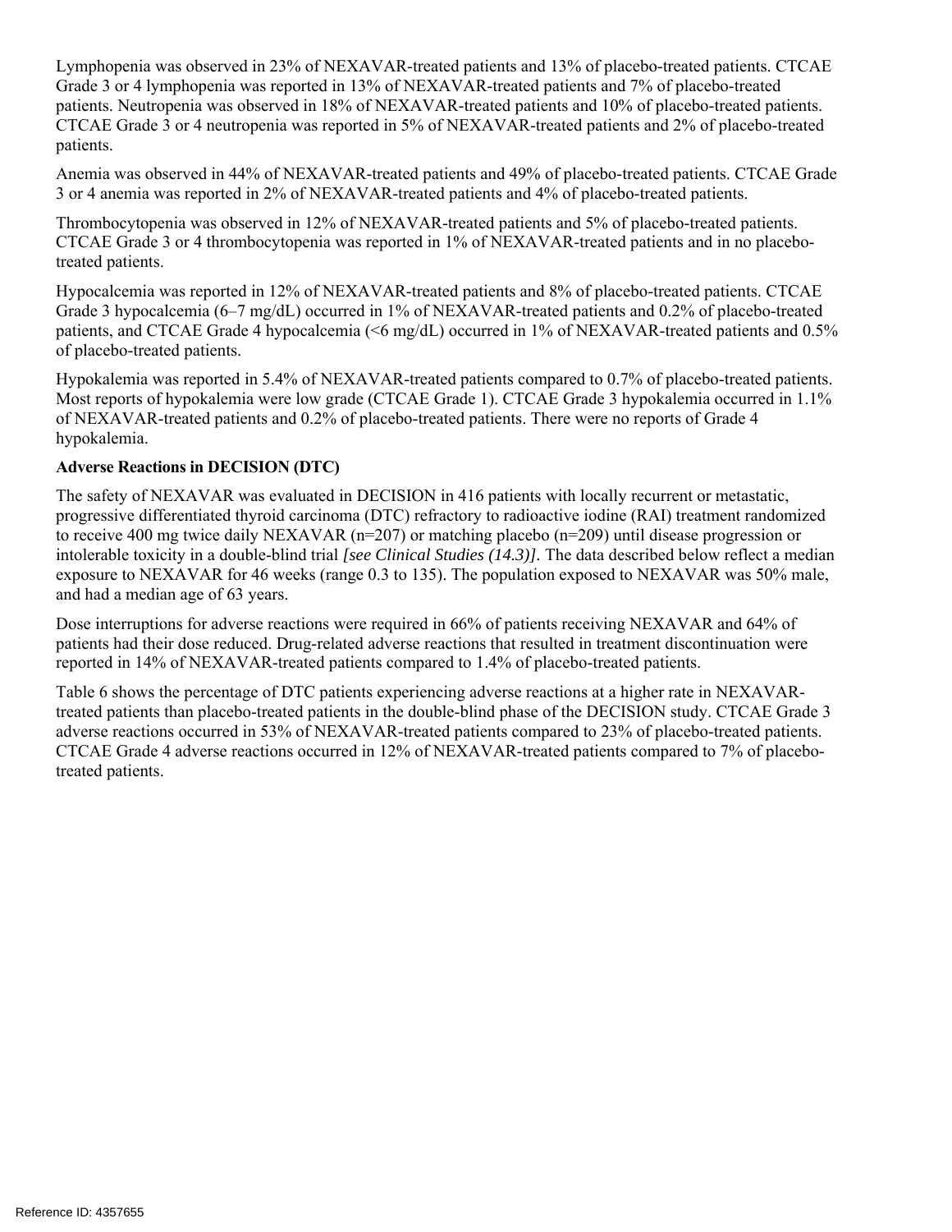Lymphopenia was observed in 23% of NEXAVAR-treated patients and 13% of placebo-treated patients. CTCAE Grade 3 or 4 lymphopenia was reported in 13% of NEXAVAR-treated patients and 7% of placebo-treated patients. Neutropenia was observed in 18% of NEXAVAR-treated patients and 10% of placebo-treated patients. CTCAE Grade 3 or 4 neutropenia was reported in 5% of NEXAVAR-treated patients and 2% of placebo-treated patients.

Anemia was observed in 44% of NEXAVAR-treated patients and 49% of placebo-treated patients. CTCAE Grade 3 or 4 anemia was reported in 2% of NEXAVAR-treated patients and 4% of placebo-treated patients.

Thrombocytopenia was observed in 12% of NEXAVAR-treated patients and 5% of placebo-treated patients. CTCAE Grade 3 or 4 thrombocytopenia was reported in 1% of NEXAVAR-treated patients and in no placebotreated patients.

Hypocalcemia was reported in 12% of NEXAVAR-treated patients and 8% of placebo-treated patients. CTCAE Grade 3 hypocalcemia (6–7 mg/dL) occurred in 1% of NEXAVAR-treated patients and 0.2% of placebo-treated patients, and CTCAE Grade 4 hypocalcemia (<6 mg/dL) occurred in 1% of NEXAVAR-treated patients and 0.5% of placebo-treated patients.

Hypokalemia was reported in 5.4% of NEXAVAR-treated patients compared to 0.7% of placebo-treated patients. Most reports of hypokalemia were low grade (CTCAE Grade 1). CTCAE Grade 3 hypokalemia occurred in 1.1% of NEXAVAR-treated patients and 0.2% of placebo-treated patients. There were no reports of Grade 4 hypokalemia.

### **Adverse Reactions in DECISION (DTC)**

The safety of NEXAVAR was evaluated in DECISION in 416 patients with locally recurrent or metastatic, progressive differentiated thyroid carcinoma (DTC) refractory to radioactive iodine (RAI) treatment randomized to receive 400 mg twice daily NEXAVAR (n=207) or matching placebo (n=209) until disease progression or intolerable toxicity in a double-blind trial *[see Clinical Studies (14.3)].* The data described below reflect a median exposure to NEXAVAR for 46 weeks (range 0.3 to 135). The population exposed to NEXAVAR was 50% male, and had a median age of 63 years.

Dose interruptions for adverse reactions were required in 66% of patients receiving NEXAVAR and 64% of patients had their dose reduced. Drug-related adverse reactions that resulted in treatment discontinuation were reported in 14% of NEXAVAR-treated patients compared to 1.4% of placebo-treated patients.

Table 6 shows the percentage of DTC patients experiencing adverse reactions at a higher rate in NEXAVARtreated patients than placebo-treated patients in the double-blind phase of the DECISION study. CTCAE Grade 3 adverse reactions occurred in 53% of NEXAVAR-treated patients compared to 23% of placebo-treated patients. CTCAE Grade 4 adverse reactions occurred in 12% of NEXAVAR-treated patients compared to 7% of placebotreated patients.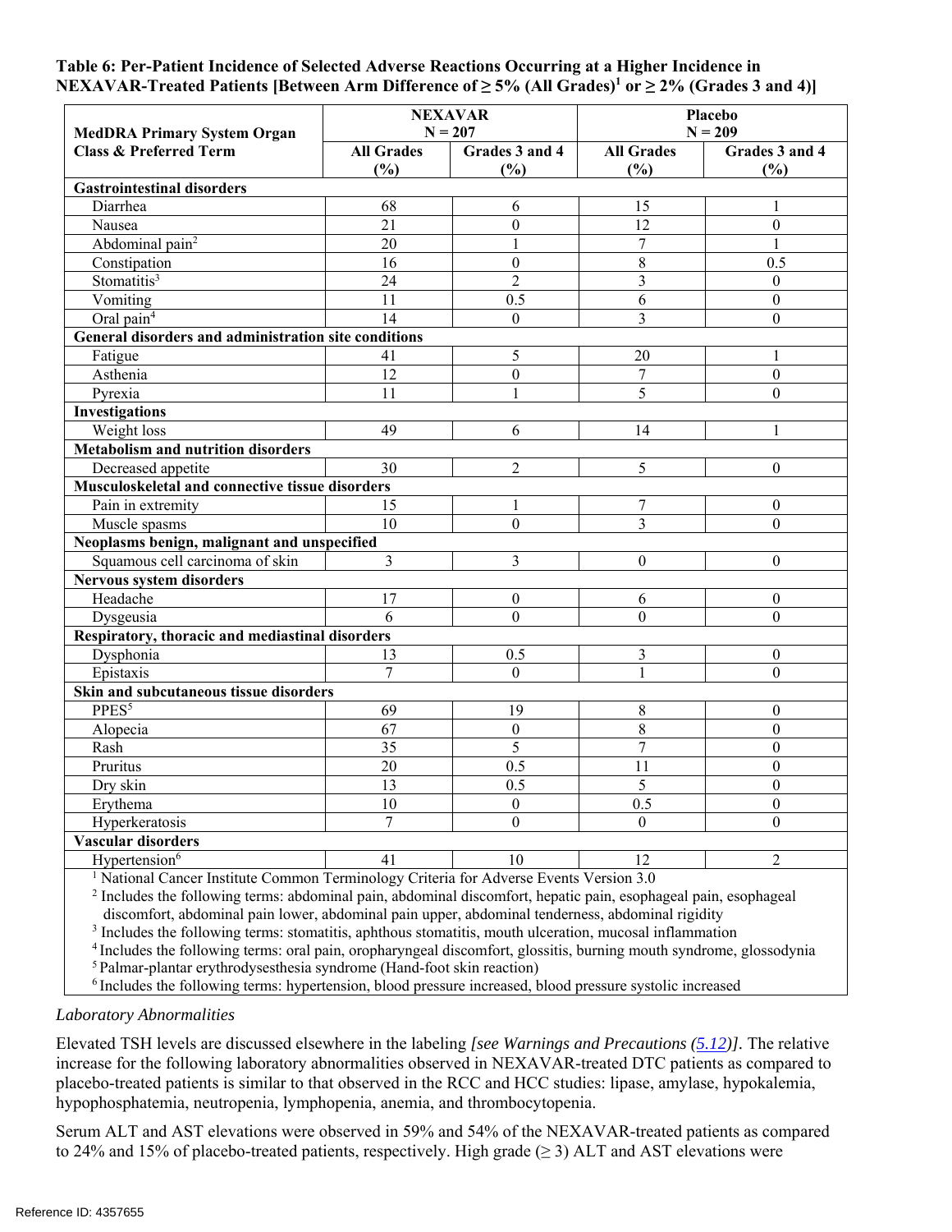#### **Table 6: Per-Patient Incidence of Selected Adverse Reactions Occurring at a Higher Incidence in**  NEXAVAR-Treated Patients [Between Arm Difference of ≥ 5% (All Grades)<sup>1</sup> or ≥ 2% (Grades 3 and 4)]

| <b>MedDRA Primary System Organ</b>                                                                             |                          | <b>NEXAVAR</b><br>$N = 207$ | Placebo<br>$N = 209$     |                       |  |  |
|----------------------------------------------------------------------------------------------------------------|--------------------------|-----------------------------|--------------------------|-----------------------|--|--|
| <b>Class &amp; Preferred Term</b>                                                                              | <b>All Grades</b><br>(%) | Grades 3 and 4<br>(%)       | <b>All Grades</b><br>(%) | Grades 3 and 4<br>(%) |  |  |
| <b>Gastrointestinal disorders</b>                                                                              |                          |                             |                          |                       |  |  |
| Diarrhea                                                                                                       | 68                       | 6                           | 15                       | 1                     |  |  |
| Nausea                                                                                                         | 21                       | $\boldsymbol{0}$            | $\overline{12}$          | $\mathbf{0}$          |  |  |
| Abdominal pain <sup>2</sup>                                                                                    | 20                       | $\mathbf{1}$                | $\overline{7}$           | $\mathbf{1}$          |  |  |
| Constipation                                                                                                   | 16                       | $\overline{0}$              | $\overline{8}$           | 0.5                   |  |  |
| Stomatitis <sup>3</sup>                                                                                        | 24                       | $\overline{2}$              | 3                        | $\theta$              |  |  |
| Vomiting                                                                                                       | 11                       | 0.5                         | 6                        | $\mathbf{0}$          |  |  |
| Oral pain <sup>4</sup>                                                                                         | $\overline{14}$          | $\Omega$                    | $\overline{3}$           | $\overline{0}$        |  |  |
| General disorders and administration site conditions                                                           |                          |                             |                          |                       |  |  |
| Fatigue                                                                                                        | 41                       | 5                           | 20                       | 1                     |  |  |
| Asthenia                                                                                                       | 12                       | $\theta$                    | $\overline{7}$           | $\theta$              |  |  |
| Pyrexia                                                                                                        | 11                       | $\mathbf{1}$                | $\overline{5}$           | $\theta$              |  |  |
| <b>Investigations</b>                                                                                          |                          |                             |                          |                       |  |  |
| Weight loss                                                                                                    | 49                       | 6                           | 14                       | 1                     |  |  |
| <b>Metabolism and nutrition disorders</b>                                                                      |                          |                             |                          |                       |  |  |
| Decreased appetite                                                                                             | 30                       | $\overline{c}$              | 5                        | $\boldsymbol{0}$      |  |  |
| Musculoskeletal and connective tissue disorders                                                                |                          |                             |                          |                       |  |  |
| Pain in extremity                                                                                              | 15                       |                             | $\overline{7}$           | $\theta$              |  |  |
| Muscle spasms                                                                                                  | 10                       | $\boldsymbol{0}$            | 3                        | $\boldsymbol{0}$      |  |  |
| Neoplasms benign, malignant and unspecified                                                                    |                          |                             |                          |                       |  |  |
| Squamous cell carcinoma of skin                                                                                | $\overline{3}$           | 3                           | $\overline{0}$           | $\boldsymbol{0}$      |  |  |
| <b>Nervous system disorders</b>                                                                                |                          |                             |                          |                       |  |  |
| Headache                                                                                                       | 17                       | $\theta$                    | 6                        | $\Omega$              |  |  |
| Dysgeusia                                                                                                      | 6                        | $\theta$                    | $\Omega$                 | $\Omega$              |  |  |
| Respiratory, thoracic and mediastinal disorders                                                                |                          |                             |                          |                       |  |  |
| Dysphonia                                                                                                      | 13                       | 0.5                         | 3                        | $\boldsymbol{0}$      |  |  |
| Epistaxis                                                                                                      | $\overline{7}$           | $\Omega$                    | $\mathbf{1}$             | $\theta$              |  |  |
| Skin and subcutaneous tissue disorders                                                                         |                          |                             |                          |                       |  |  |
| PPES <sup>5</sup>                                                                                              | 69                       | 19                          | 8                        | $\theta$              |  |  |
| Alopecia                                                                                                       | 67                       | $\boldsymbol{0}$            | 8                        | $\theta$              |  |  |
| Rash                                                                                                           | 35                       | $\overline{5}$              | $\overline{7}$           | $\mathbf{0}$          |  |  |
| Pruritus                                                                                                       | 20                       | 0.5                         | 11                       | $\overline{0}$        |  |  |
| Dry skin                                                                                                       | 13                       | 0.5                         | 5                        | $\mathbf{0}$          |  |  |
| Erythema                                                                                                       | 10                       | $\boldsymbol{0}$            | 0.5                      | $\overline{0}$        |  |  |
| Hyperkeratosis                                                                                                 | 7                        | $\Omega$                    | $\Omega$                 | $\theta$              |  |  |
| Vascular disorders                                                                                             |                          |                             |                          |                       |  |  |
| Hypertension <sup>6</sup>                                                                                      | 41                       | 10                          | 12                       | 2                     |  |  |
| <sup><math>1</math></sup> National Cancer Institute Common Terminology Criteria for Adverse Events Version 3.0 |                          |                             |                          |                       |  |  |

ancer Institute Common Terminology Criteria for Adverse Events Version 3.0

<sup>2</sup> Includes the following terms: abdominal pain, abdominal discomfort, hepatic pain, esophageal pain, esophageal discomfort, abdominal pain lower, abdominal pain upper, abdominal tenderness, abdominal rigidity

<sup>3</sup> Includes the following terms: stomatitis, aphthous stomatitis, mouth ulceration, mucosal inflammation

 $4$  Includes the following terms: oral pain, oropharyngeal discomfort, glossitis, burning mouth syndrome, glossodynia  $5$  Palmar-plantar erythrodysesthesia syndrome (Hand-foot skin reaction)

6 Includes the following terms: hypertension, blood pressure increased, blood pressure systolic increased

#### *Laboratory Abnormalities*

Elevated TSH levels are discussed elsewhere in the labeling *[see Warnings and Precautions (5.12)].* The relative increase for the following laboratory abnormalities observed in NEXAVAR-treated DTC patients as compared to placebo-treated patients is similar to that observed in the RCC and HCC studies: lipase, amylase, hypokalemia, hypophosphatemia, neutropenia, lymphopenia, anemia, and thrombocytopenia.

Serum ALT and AST elevations were observed in 59% and 54% of the NEXAVAR-treated patients as compared to 24% and 15% of placebo-treated patients, respectively. High grade  $(\geq 3)$  ALT and AST elevations were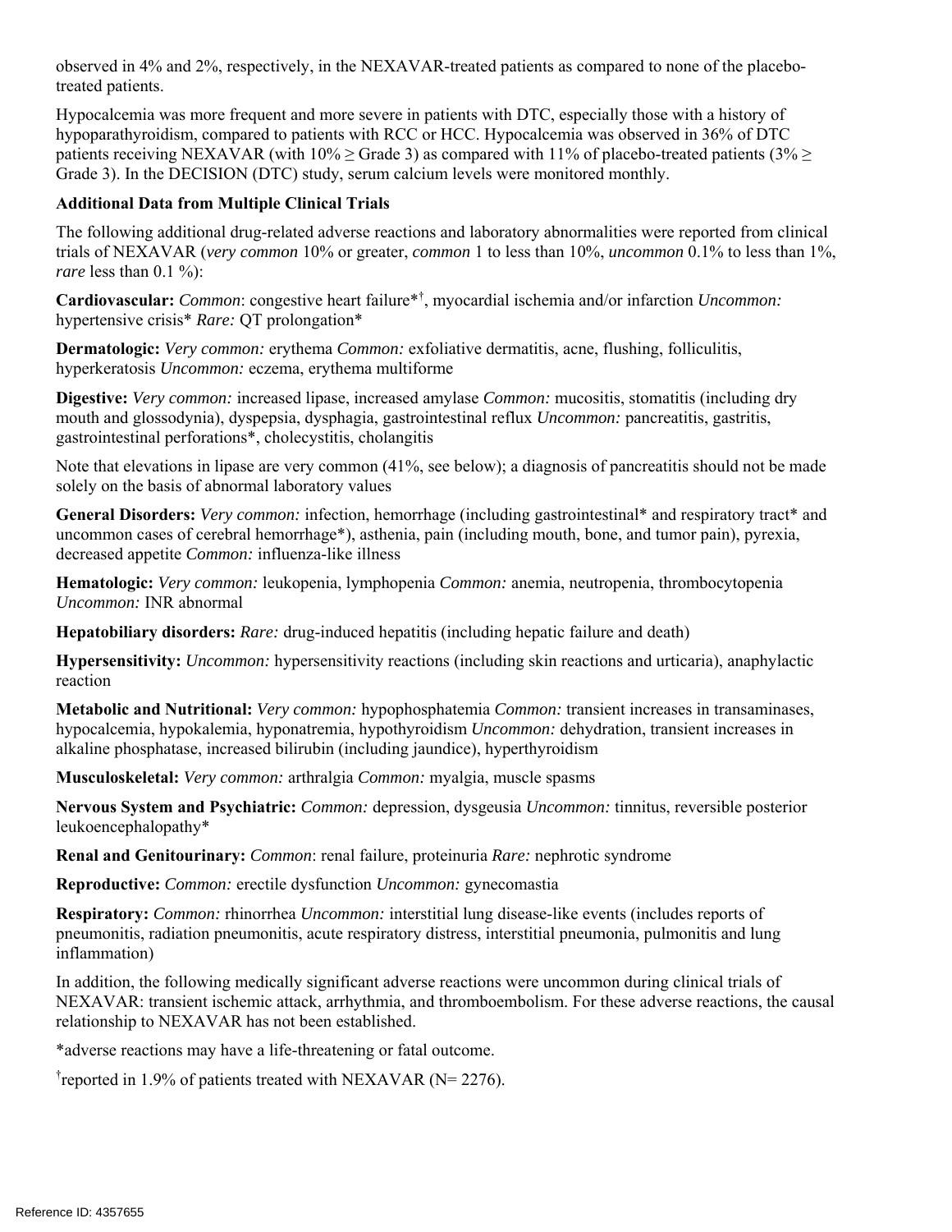observed in 4% and 2%, respectively, in the NEXAVAR-treated patients as compared to none of the placebotreated patients.

Hypocalcemia was more frequent and more severe in patients with DTC, especially those with a history of hypoparathyroidism, compared to patients with RCC or HCC. Hypocalcemia was observed in 36% of DTC patients receiving NEXAVAR (with  $10\% \geq$  Grade 3) as compared with 11% of placebo-treated patients (3%  $\geq$ Grade 3). In the DECISION (DTC) study, serum calcium levels were monitored monthly.

### **Additional Data from Multiple Clinical Trials**

The following additional drug-related adverse reactions and laboratory abnormalities were reported from clinical trials of NEXAVAR (*very common* 10% or greater, *common* 1 to less than 10%, *uncommon* 0.1% to less than 1%, *rare* less than 0.1 %):

**Cardiovascular:** *Common*: congestive heart failure\*† , myocardial ischemia and/or infarction *Uncommon:* hypertensive crisis\* *Rare:* QT prolongation\*

**Dermatologic:** *Very common:* erythema *Common:* exfoliative dermatitis, acne, flushing, folliculitis, hyperkeratosis *Uncommon:* eczema, erythema multiforme

**Digestive:** *Very common:* increased lipase, increased amylase *Common:* mucositis, stomatitis (including dry mouth and glossodynia), dyspepsia, dysphagia, gastrointestinal reflux *Uncommon:* pancreatitis, gastritis, gastrointestinal perforations\*, cholecystitis, cholangitis

Note that elevations in lipase are very common (41%, see below); a diagnosis of pancreatitis should not be made solely on the basis of abnormal laboratory values

**General Disorders:** *Very common:* infection, hemorrhage (including gastrointestinal\* and respiratory tract\* and uncommon cases of cerebral hemorrhage\*), asthenia, pain (including mouth, bone, and tumor pain), pyrexia, decreased appetite *Common:* influenza-like illness

**Hematologic:** *Very common:* leukopenia, lymphopenia *Common:* anemia, neutropenia, thrombocytopenia *Uncommon:* INR abnormal

**Hepatobiliary disorders:** *Rare:* drug-induced hepatitis (including hepatic failure and death)

**Hypersensitivity:** *Uncommon:* hypersensitivity reactions (including skin reactions and urticaria), anaphylactic reaction

**Metabolic and Nutritional:** *Very common:* hypophosphatemia *Common:* transient increases in transaminases, hypocalcemia, hypokalemia, hyponatremia, hypothyroidism *Uncommon:* dehydration, transient increases in alkaline phosphatase, increased bilirubin (including jaundice), hyperthyroidism

**Musculoskeletal:** *Very common:* arthralgia *Common:* myalgia, muscle spasms

**Nervous System and Psychiatric:** *Common:* depression, dysgeusia *Uncommon:* tinnitus, reversible posterior leukoencephalopathy\*

**Renal and Genitourinary:** *Common*: renal failure, proteinuria *Rare:* nephrotic syndrome

**Reproductive:** *Common:* erectile dysfunction *Uncommon:* gynecomastia

**Respiratory:** *Common:* rhinorrhea *Uncommon:* interstitial lung disease-like events (includes reports of pneumonitis, radiation pneumonitis, acute respiratory distress, interstitial pneumonia, pulmonitis and lung inflammation)

In addition, the following medically significant adverse reactions were uncommon during clinical trials of NEXAVAR: transient ischemic attack, arrhythmia, and thromboembolism. For these adverse reactions, the causal relationship to NEXAVAR has not been established.

\*adverse reactions may have a life-threatening or fatal outcome.

<sup>†</sup>reported in 1.9% of patients treated with NEXAVAR (N= 2276).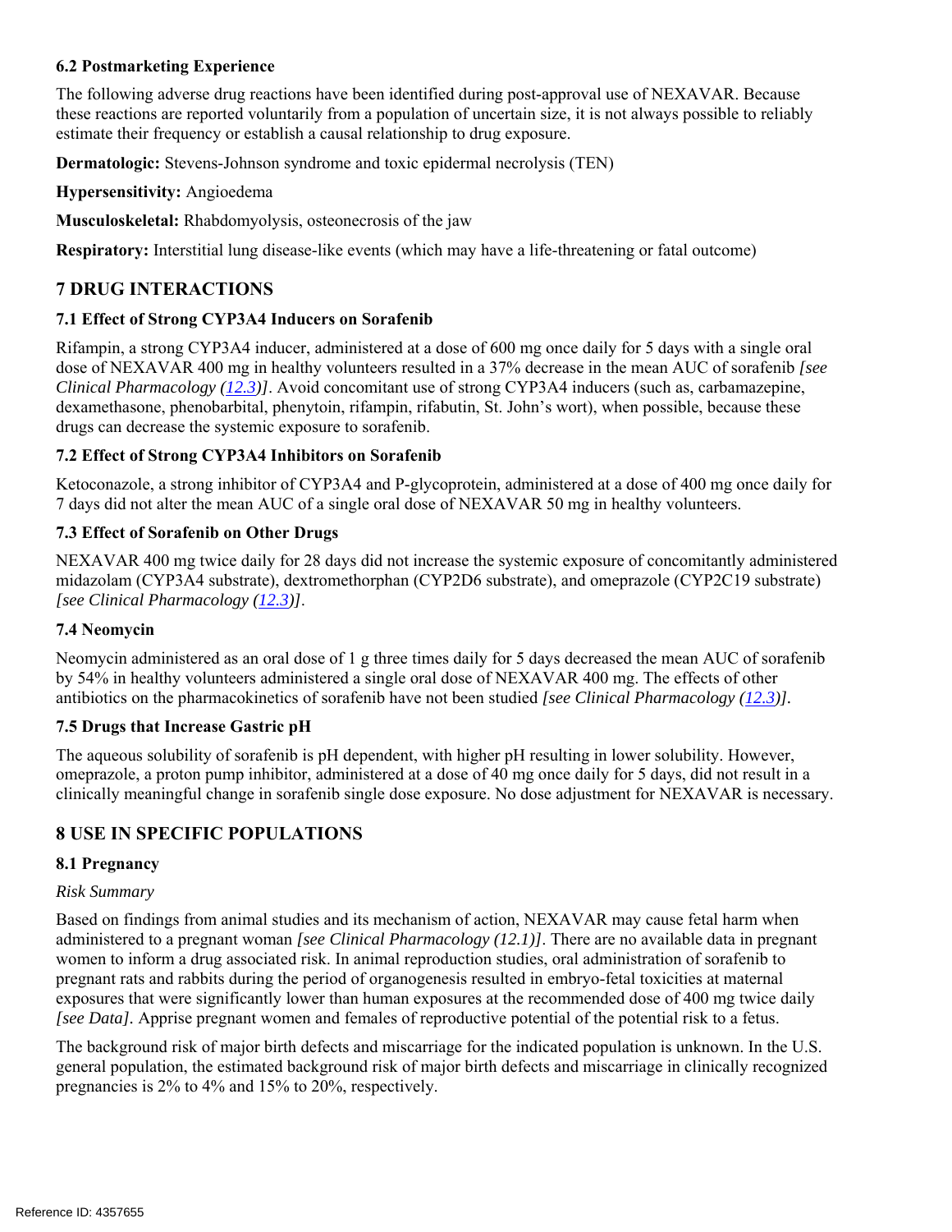#### **6.2 Postmarketing Experience**

The following adverse drug reactions have been identified during post-approval use of NEXAVAR. Because these reactions are reported voluntarily from a population of uncertain size, it is not always possible to reliably estimate their frequency or establish a causal relationship to drug exposure.

**Dermatologic:** Stevens-Johnson syndrome and toxic epidermal necrolysis (TEN)

#### **Hypersensitivity:** Angioedema

**Musculoskeletal:** Rhabdomyolysis, osteonecrosis of the jaw

**Respiratory:** Interstitial lung disease-like events (which may have a life-threatening or fatal outcome)

# **7 DRUG INTERACTIONS**

### **7.1 Effect of Strong CYP3A4 Inducers on Sorafenib**

Rifampin, a strong CYP3A4 inducer, administered at a dose of 600 mg once daily for 5 days with a single oral dose of NEXAVAR 400 mg in healthy volunteers resulted in a 37% decrease in the mean AUC of sorafenib *[see Clinical Pharmacology (12.3)]*. Avoid concomitant use of strong CYP3A4 inducers (such as, carbamazepine, dexamethasone, phenobarbital, phenytoin, rifampin, rifabutin, St. John's wort), when possible, because these drugs can decrease the systemic exposure to sorafenib.

### **7.2 Effect of Strong CYP3A4 Inhibitors on Sorafenib**

Ketoconazole, a strong inhibitor of CYP3A4 and P-glycoprotein, administered at a dose of 400 mg once daily for 7 days did not alter the mean AUC of a single oral dose of NEXAVAR 50 mg in healthy volunteers.

### **7.3 Effect of Sorafenib on Other Drugs**

NEXAVAR 400 mg twice daily for 28 days did not increase the systemic exposure of concomitantly administered midazolam (CYP3A4 substrate), dextromethorphan (CYP2D6 substrate), and omeprazole (CYP2C19 substrate) *[see Clinical Pharmacology (12.3)]*.

#### **7.4 Neomycin**

Neomycin administered as an oral dose of 1 g three times daily for 5 days decreased the mean AUC of sorafenib by 54% in healthy volunteers administered a single oral dose of NEXAVAR 400 mg. The effects of other antibiotics on the pharmacokinetics of sorafenib have not been studied *[see Clinical Pharmacology (12.3)].* 

# **7.5 Drugs that Increase Gastric pH**

The aqueous solubility of sorafenib is pH dependent, with higher pH resulting in lower solubility. However, omeprazole, a proton pump inhibitor, administered at a dose of 40 mg once daily for 5 days, did not result in a clinically meaningful change in sorafenib single dose exposure. No dose adjustment for NEXAVAR is necessary.

# **8 USE IN SPECIFIC POPULATIONS**

# **8.1 Pregnancy**

#### *Risk Summary*

Based on findings from animal studies and its mechanism of action, NEXAVAR may cause fetal harm when administered to a pregnant woman *[see Clinical Pharmacology (12.1)]*. There are no available data in pregnant women to inform a drug associated risk. In animal reproduction studies, oral administration of sorafenib to pregnant rats and rabbits during the period of organogenesis resulted in embryo-fetal toxicities at maternal exposures that were significantly lower than human exposures at the recommended dose of 400 mg twice daily *[see Data].* Apprise pregnant women and females of reproductive potential of the potential risk to a fetus.

The background risk of major birth defects and miscarriage for the indicated population is unknown. In the U.S. general population, the estimated background risk of major birth defects and miscarriage in clinically recognized pregnancies is 2% to 4% and 15% to 20%, respectively.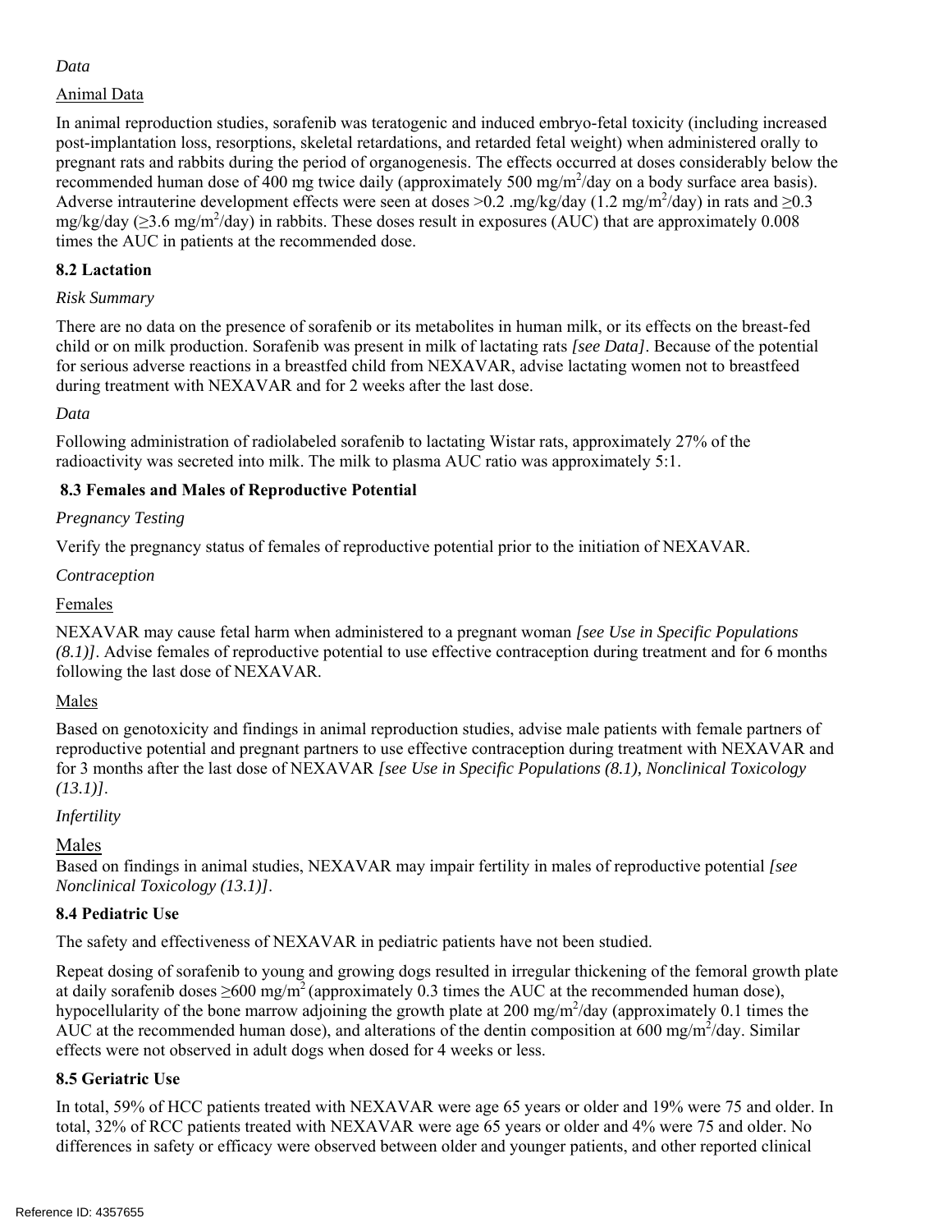# *Data*

# Animal Data

In animal reproduction studies, sorafenib was teratogenic and induced embryo-fetal toxicity (including increased post-implantation loss, resorptions, skeletal retardations, and retarded fetal weight) when administered orally to pregnant rats and rabbits during the period of organogenesis. The effects occurred at doses considerably below the recommended human dose of 400 mg twice daily (approximately 500 mg/m<sup>2</sup>/day on a body surface area basis). Adverse intrauterine development effects were seen at doses >0.2 .mg/kg/day (1.2 mg/m<sup>2</sup>/day) in rats and  $\geq$ 0.3 mg/kg/day ( $\geq$ 3.6 mg/m<sup>2</sup>/day) in rabbits. These doses result in exposures (AUC) that are approximately 0.008 times the AUC in patients at the recommended dose.

# **8.2 Lactation**

# *Risk Summary*

There are no data on the presence of sorafenib or its metabolites in human milk, or its effects on the breast-fed child or on milk production. Sorafenib was present in milk of lactating rats *[see Data]*. Because of the potential for serious adverse reactions in a breastfed child from NEXAVAR, advise lactating women not to breastfeed during treatment with NEXAVAR and for 2 weeks after the last dose.

*Data* 

Following administration of radiolabeled sorafenib to lactating Wistar rats, approximately 27% of the radioactivity was secreted into milk. The milk to plasma AUC ratio was approximately 5:1.

# **8.3 Females and Males of Reproductive Potential**

# *Pregnancy Testing*

Verify the pregnancy status of females of reproductive potential prior to the initiation of NEXAVAR.

# *Contraception*

# Females

NEXAVAR may cause fetal harm when administered to a pregnant woman *[see Use in Specific Populations (8.1)]*. Advise females of reproductive potential to use effective contraception during treatment and for 6 months following the last dose of NEXAVAR.

# Males

Based on genotoxicity and findings in animal reproduction studies, advise male patients with female partners of reproductive potential and pregnant partners to use effective contraception during treatment with NEXAVAR and for 3 months after the last dose of NEXAVAR *[see Use in Specific Populations (8.1), Nonclinical Toxicology (13.1)]*.

# *Infertility*

# Males

Based on findings in animal studies, NEXAVAR may impair fertility in males of reproductive potential *[see Nonclinical Toxicology (13.1)]*.

# **8.4 Pediatric Use**

The safety and effectiveness of NEXAVAR in pediatric patients have not been studied.

Repeat dosing of sorafenib to young and growing dogs resulted in irregular thickening of the femoral growth plate at daily sorafenib doses  $\geq 600$  mg/m<sup>2</sup> (approximately 0.3 times the AUC at the recommended human dose), hypocellularity of the bone marrow adjoining the growth plate at 200 mg/m<sup>2</sup>/day (approximately 0.1 times the AUC at the recommended human dose), and alterations of the dentin composition at 600 mg/m<sup>2</sup>/day. Similar effects were not observed in adult dogs when dosed for 4 weeks or less.

# **8.5 Geriatric Use**

In total, 59% of HCC patients treated with NEXAVAR were age 65 years or older and 19% were 75 and older. In total, 32% of RCC patients treated with NEXAVAR were age 65 years or older and 4% were 75 and older. No differences in safety or efficacy were observed between older and younger patients, and other reported clinical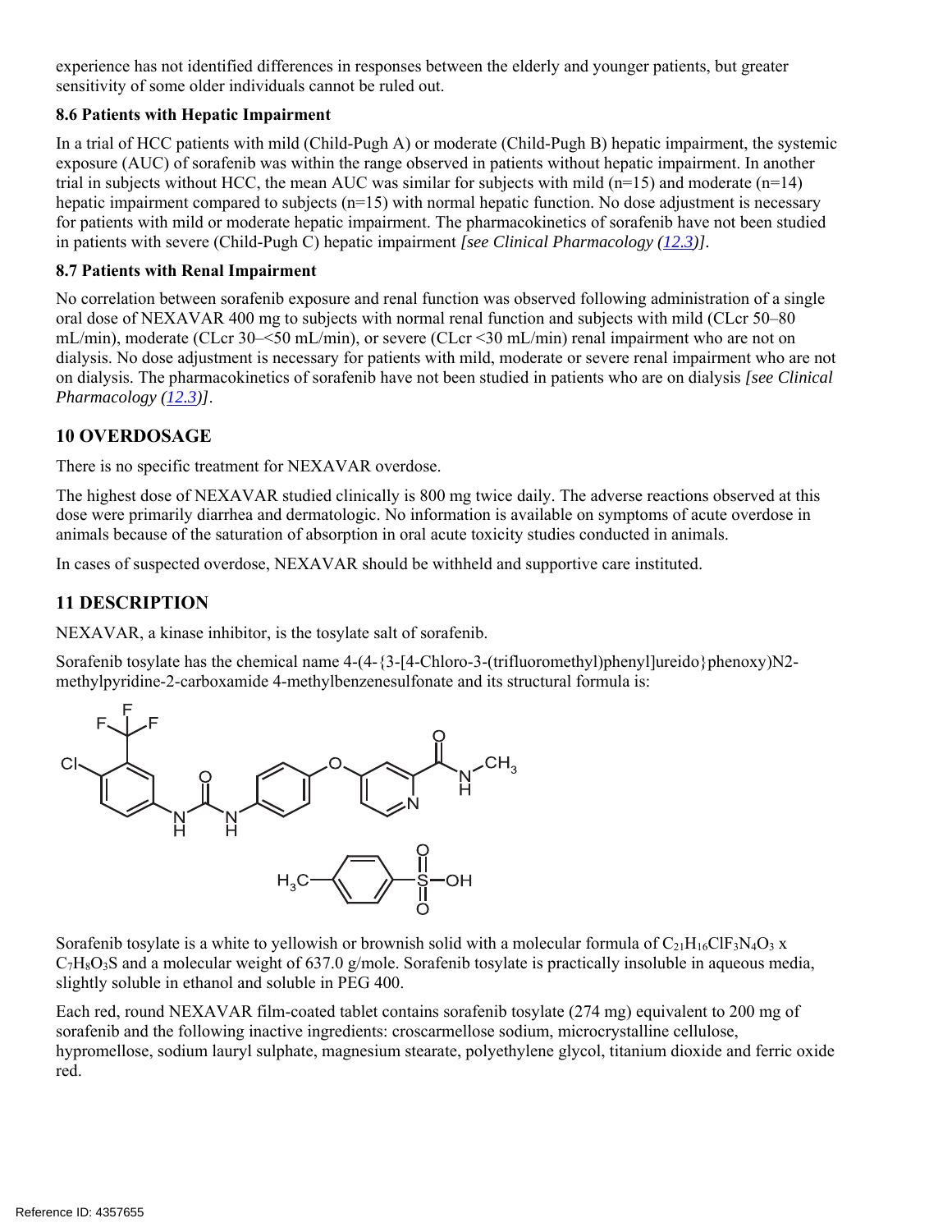experience has not identified differences in responses between the elderly and younger patients, but greater sensitivity of some older individuals cannot be ruled out.

### **8.6 Patients with Hepatic Impairment**

In a trial of HCC patients with mild (Child-Pugh A) or moderate (Child-Pugh B) hepatic impairment, the systemic exposure (AUC) of sorafenib was within the range observed in patients without hepatic impairment. In another trial in subjects without HCC, the mean AUC was similar for subjects with mild  $(n=15)$  and moderate  $(n=14)$ hepatic impairment compared to subjects  $(n=15)$  with normal hepatic function. No dose adjustment is necessary for patients with mild or moderate hepatic impairment. The pharmacokinetics of sorafenib have not been studied in patients with severe (Child-Pugh C) hepatic impairment *[see Clinical Pharmacology (12.3)].*

### **8.7 Patients with Renal Impairment**

No correlation between sorafenib exposure and renal function was observed following administration of a single oral dose of NEXAVAR 400 mg to subjects with normal renal function and subjects with mild (CLcr 50–80 mL/min), moderate (CLcr 30–<50 mL/min), or severe (CLcr <30 mL/min) renal impairment who are not on dialysis. No dose adjustment is necessary for patients with mild, moderate or severe renal impairment who are not on dialysis. The pharmacokinetics of sorafenib have not been studied in patients who are on dialysis *[see Clinical Pharmacology (12.3)]*.

# **10 OVERDOSAGE**

There is no specific treatment for NEXAVAR overdose.

The highest dose of NEXAVAR studied clinically is 800 mg twice daily. The adverse reactions observed at this dose were primarily diarrhea and dermatologic. No information is available on symptoms of acute overdose in animals because of the saturation of absorption in oral acute toxicity studies conducted in animals.

In cases of suspected overdose, NEXAVAR should be withheld and supportive care instituted.

# **11 DESCRIPTION**

NEXAVAR, a kinase inhibitor, is the tosylate salt of sorafenib.

Sorafenib tosylate has the chemical name  $4-(4-\frac{3}{4}-\frac{1}{2}-\frac{1}{2}-\frac{1}{2}-\frac{1}{2}-\frac{1}{2}-\frac{1}{2}-\frac{1}{2}-\frac{1}{2}-\frac{1}{2}-\frac{1}{2}-\frac{1}{2}-\frac{1}{2}-\frac{1}{2}-\frac{1}{2}-\frac{1}{2}-\frac{1}{2}-\frac{1}{2}-\frac{1}{2}-\frac{1}{2}-\frac{1}{2}-\frac{1}{2}-\frac{1}{2}-\frac{1}{2}-\frac{1}{2}-\$ methylpyridine-2-carboxamide 4-methylbenzenesulfonate and its structural formula is:



Sorafenib tosylate is a white to yellowish or brownish solid with a molecular formula of  $C_2_1H_{16}CIF_3N_4O_3$  x  $C_7H_8O_3S$  and a molecular weight of 637.0 g/mole. Sorafenib tosylate is practically insoluble in aqueous media, slightly soluble in ethanol and soluble in PEG 400.

Each red, round NEXAVAR film-coated tablet contains sorafenib tosylate (274 mg) equivalent to 200 mg of sorafenib and the following inactive ingredients: croscarmellose sodium, microcrystalline cellulose, hypromellose, sodium lauryl sulphate, magnesium stearate, polyethylene glycol, titanium dioxide and ferric oxide red.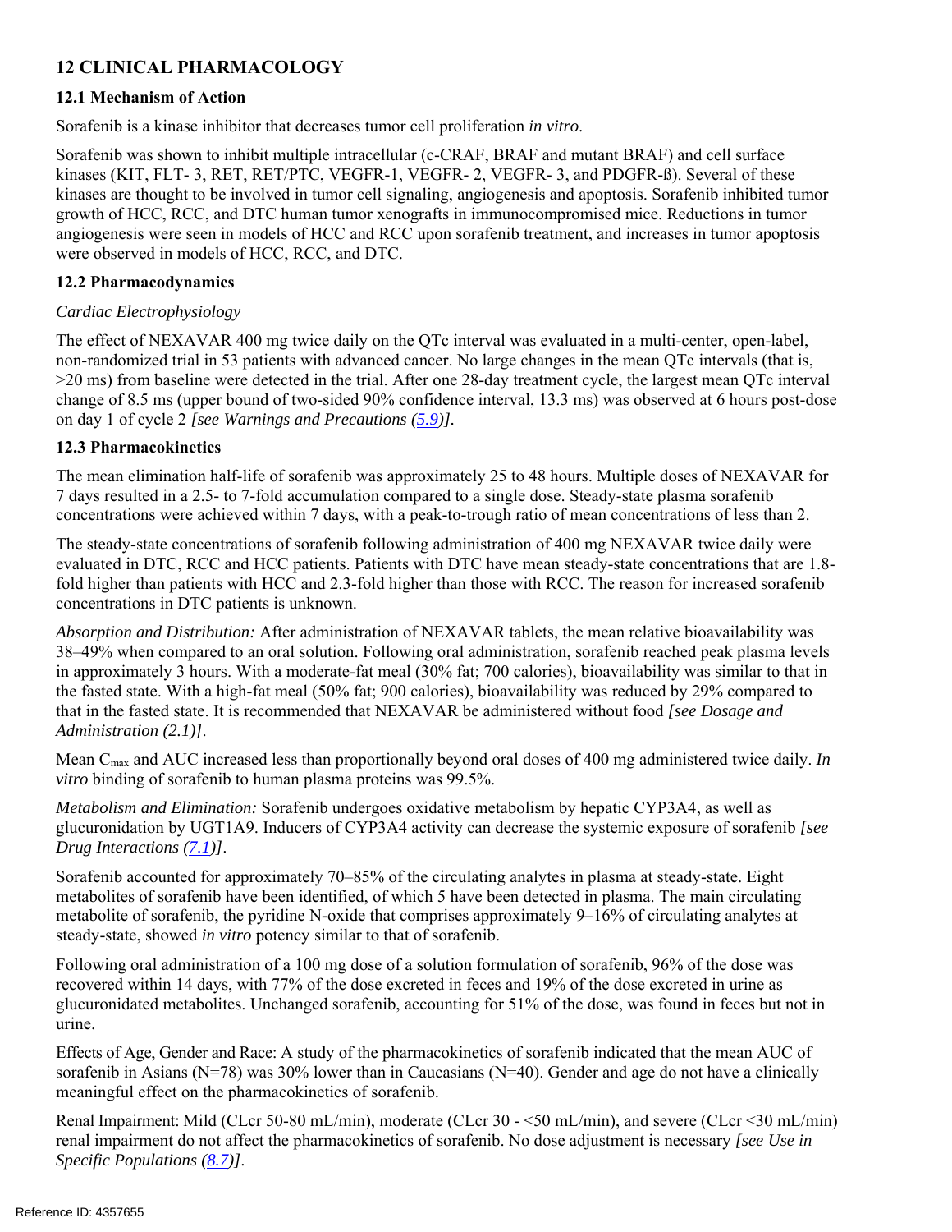# **12 CLINICAL PHARMACOLOGY**

# **12.1 Mechanism of Action**

Sorafenib is a kinase inhibitor that decreases tumor cell proliferation *in vitro*.

Sorafenib was shown to inhibit multiple intracellular (c-CRAF, BRAF and mutant BRAF) and cell surface kinases (KIT, FLT- 3, RET, RET/PTC, VEGFR-1, VEGFR- 2, VEGFR- 3, and PDGFR-ß). Several of these kinases are thought to be involved in tumor cell signaling, angiogenesis and apoptosis. Sorafenib inhibited tumor growth of HCC, RCC, and DTC human tumor xenografts in immunocompromised mice. Reductions in tumor angiogenesis were seen in models of HCC and RCC upon sorafenib treatment, and increases in tumor apoptosis were observed in models of HCC, RCC, and DTC.

# **12.2 Pharmacodynamics**

# *Cardiac Electrophysiology*

The effect of NEXAVAR 400 mg twice daily on the QTc interval was evaluated in a multi-center, open-label, non-randomized trial in 53 patients with advanced cancer. No large changes in the mean QTc intervals (that is, >20 ms) from baseline were detected in the trial. After one 28-day treatment cycle, the largest mean QTc interval change of 8.5 ms (upper bound of two-sided 90% confidence interval, 13.3 ms) was observed at 6 hours post-dose on day 1 of cycle 2 *[see Warnings and Precautions (5.9)].* 

# **12.3 Pharmacokinetics**

The mean elimination half-life of sorafenib was approximately 25 to 48 hours. Multiple doses of NEXAVAR for 7 days resulted in a 2.5- to 7-fold accumulation compared to a single dose. Steady-state plasma sorafenib concentrations were achieved within 7 days, with a peak-to-trough ratio of mean concentrations of less than 2.

The steady-state concentrations of sorafenib following administration of 400 mg NEXAVAR twice daily were evaluated in DTC, RCC and HCC patients. Patients with DTC have mean steady-state concentrations that are 1.8 fold higher than patients with HCC and 2.3-fold higher than those with RCC. The reason for increased sorafenib concentrations in DTC patients is unknown.

*Absorption and Distribution:* After administration of NEXAVAR tablets, the mean relative bioavailability was 38–49% when compared to an oral solution. Following oral administration, sorafenib reached peak plasma levels in approximately 3 hours. With a moderate-fat meal (30% fat; 700 calories), bioavailability was similar to that in the fasted state. With a high-fat meal (50% fat; 900 calories), bioavailability was reduced by 29% compared to that in the fasted state. It is recommended that NEXAVAR be administered without food *[see Dosage and Administration (2.1)]*.

Mean Cmax and AUC increased less than proportionally beyond oral doses of 400 mg administered twice daily. *In vitro* binding of sorafenib to human plasma proteins was 99.5%.

*Metabolism and Elimination:* Sorafenib undergoes oxidative metabolism by hepatic CYP3A4, as well as glucuronidation by UGT1A9. Inducers of CYP3A4 activity can decrease the systemic exposure of sorafenib *[see Drug Interactions (7.1)]*.

Sorafenib accounted for approximately 70–85% of the circulating analytes in plasma at steady-state. Eight metabolites of sorafenib have been identified, of which 5 have been detected in plasma. The main circulating metabolite of sorafenib, the pyridine N-oxide that comprises approximately 9–16% of circulating analytes at steady-state, showed *in vitro* potency similar to that of sorafenib.

Following oral administration of a 100 mg dose of a solution formulation of sorafenib, 96% of the dose was recovered within 14 days, with 77% of the dose excreted in feces and 19% of the dose excreted in urine as glucuronidated metabolites. Unchanged sorafenib, accounting for 51% of the dose, was found in feces but not in urine.

Effects of Age, Gender and Race: A study of the pharmacokinetics of sorafenib indicated that the mean AUC of sorafenib in Asians ( $N=78$ ) was 30% lower than in Caucasians ( $N=40$ ). Gender and age do not have a clinically meaningful effect on the pharmacokinetics of sorafenib.

Renal Impairment: Mild (CLcr 50-80 mL/min), moderate (CLcr 30 - <50 mL/min), and severe (CLcr <30 mL/min) renal impairment do not affect the pharmacokinetics of sorafenib. No dose adjustment is necessary *[see Use in Specific Populations (8.7)]*.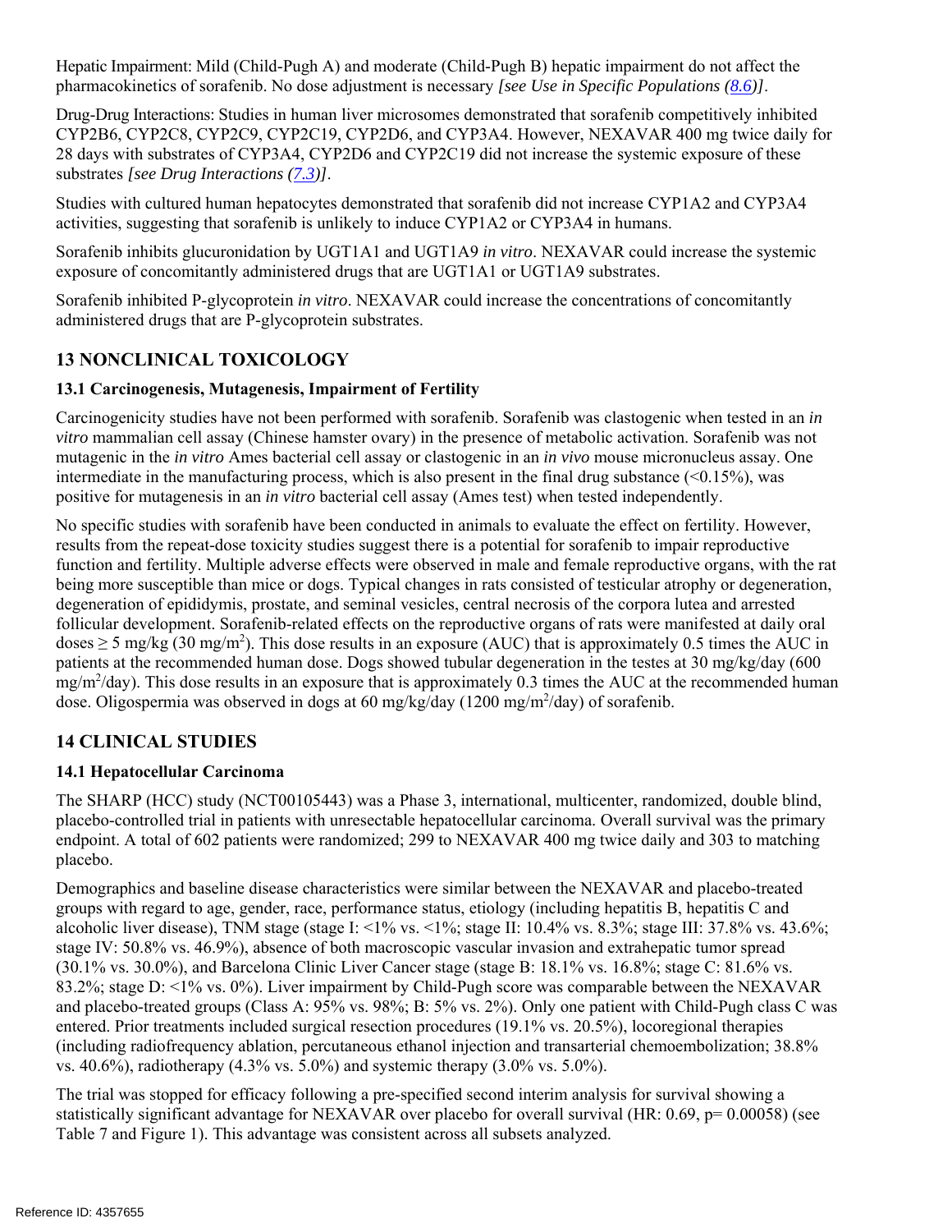Hepatic Impairment: Mild (Child-Pugh A) and moderate (Child-Pugh B) hepatic impairment do not affect the pharmacokinetics of sorafenib. No dose adjustment is necessary *[see Use in Specific Populations (8.6)]*.

Drug-Drug Interactions: Studies in human liver microsomes demonstrated that sorafenib competitively inhibited CYP2B6, CYP2C8, CYP2C9, CYP2C19, CYP2D6, and CYP3A4. However, NEXAVAR 400 mg twice daily for 28 days with substrates of CYP3A4, CYP2D6 and CYP2C19 did not increase the systemic exposure of these substrates *[see Drug Interactions (7.3)]*.

Studies with cultured human hepatocytes demonstrated that sorafenib did not increase CYP1A2 and CYP3A4 activities, suggesting that sorafenib is unlikely to induce CYP1A2 or CYP3A4 in humans.

Sorafenib inhibits glucuronidation by UGT1A1 and UGT1A9 *in vitro*. NEXAVAR could increase the systemic exposure of concomitantly administered drugs that are UGT1A1 or UGT1A9 substrates.

Sorafenib inhibited P-glycoprotein *in vitro*. NEXAVAR could increase the concentrations of concomitantly administered drugs that are P-glycoprotein substrates.

# **13 NONCLINICAL TOXICOLOGY**

# **13.1 Carcinogenesis, Mutagenesis, Impairment of Fertility**

Carcinogenicity studies have not been performed with sorafenib. Sorafenib was clastogenic when tested in an *in vitro* mammalian cell assay (Chinese hamster ovary) in the presence of metabolic activation. Sorafenib was not mutagenic in the *in vitro* Ames bacterial cell assay or clastogenic in an *in vivo* mouse micronucleus assay. One intermediate in the manufacturing process, which is also present in the final drug substance  $(\leq 0.15\%)$ , was positive for mutagenesis in an *in vitro* bacterial cell assay (Ames test) when tested independently.

No specific studies with sorafenib have been conducted in animals to evaluate the effect on fertility. However, results from the repeat-dose toxicity studies suggest there is a potential for sorafenib to impair reproductive function and fertility. Multiple adverse effects were observed in male and female reproductive organs, with the rat being more susceptible than mice or dogs. Typical changes in rats consisted of testicular atrophy or degeneration, degeneration of epididymis, prostate, and seminal vesicles, central necrosis of the corpora lutea and arrested follicular development. Sorafenib-related effects on the reproductive organs of rats were manifested at daily oral doses  $\geq$  5 mg/kg (30 mg/m<sup>2</sup>). This dose results in an exposure (AUC) that is approximately 0.5 times the AUC in patients at the recommended human dose. Dogs showed tubular degeneration in the testes at 30 mg/kg/day (600  $mg/m^2$ /day). This dose results in an exposure that is approximately 0.3 times the AUC at the recommended human dose. Oligospermia was observed in dogs at 60 mg/kg/day (1200 mg/m<sup>2</sup>/day) of sorafenib.

# **14 CLINICAL STUDIES**

# **14.1 Hepatocellular Carcinoma**

The SHARP (HCC) study (NCT00105443) was a Phase 3, international, multicenter, randomized, double blind, placebo-controlled trial in patients with unresectable hepatocellular carcinoma. Overall survival was the primary endpoint. A total of 602 patients were randomized; 299 to NEXAVAR 400 mg twice daily and 303 to matching placebo.

Demographics and baseline disease characteristics were similar between the NEXAVAR and placebo-treated groups with regard to age, gender, race, performance status, etiology (including hepatitis B, hepatitis C and alcoholic liver disease), TNM stage (stage I: <1% vs.  $\langle 1\% \rangle$  vs.  $\langle 1\% \rangle$  vs. 8.3%; stage III: 37.8% vs. 43.6%; stage IV: 50.8% vs. 46.9%), absence of both macroscopic vascular invasion and extrahepatic tumor spread (30.1% vs. 30.0%), and Barcelona Clinic Liver Cancer stage (stage B: 18.1% vs. 16.8%; stage C: 81.6% vs. 83.2%; stage D: <1% vs. 0%). Liver impairment by Child-Pugh score was comparable between the NEXAVAR and placebo-treated groups (Class A: 95% vs. 98%; B: 5% vs. 2%). Only one patient with Child-Pugh class C was entered. Prior treatments included surgical resection procedures (19.1% vs. 20.5%), locoregional therapies (including radiofrequency ablation, percutaneous ethanol injection and transarterial chemoembolization; 38.8% vs. 40.6%), radiotherapy (4.3% vs. 5.0%) and systemic therapy (3.0% vs. 5.0%).

The trial was stopped for efficacy following a pre-specified second interim analysis for survival showing a statistically significant advantage for NEXAVAR over placebo for overall survival (HR: 0.69, p= 0.00058) (see Table 7 and Figure 1). This advantage was consistent across all subsets analyzed.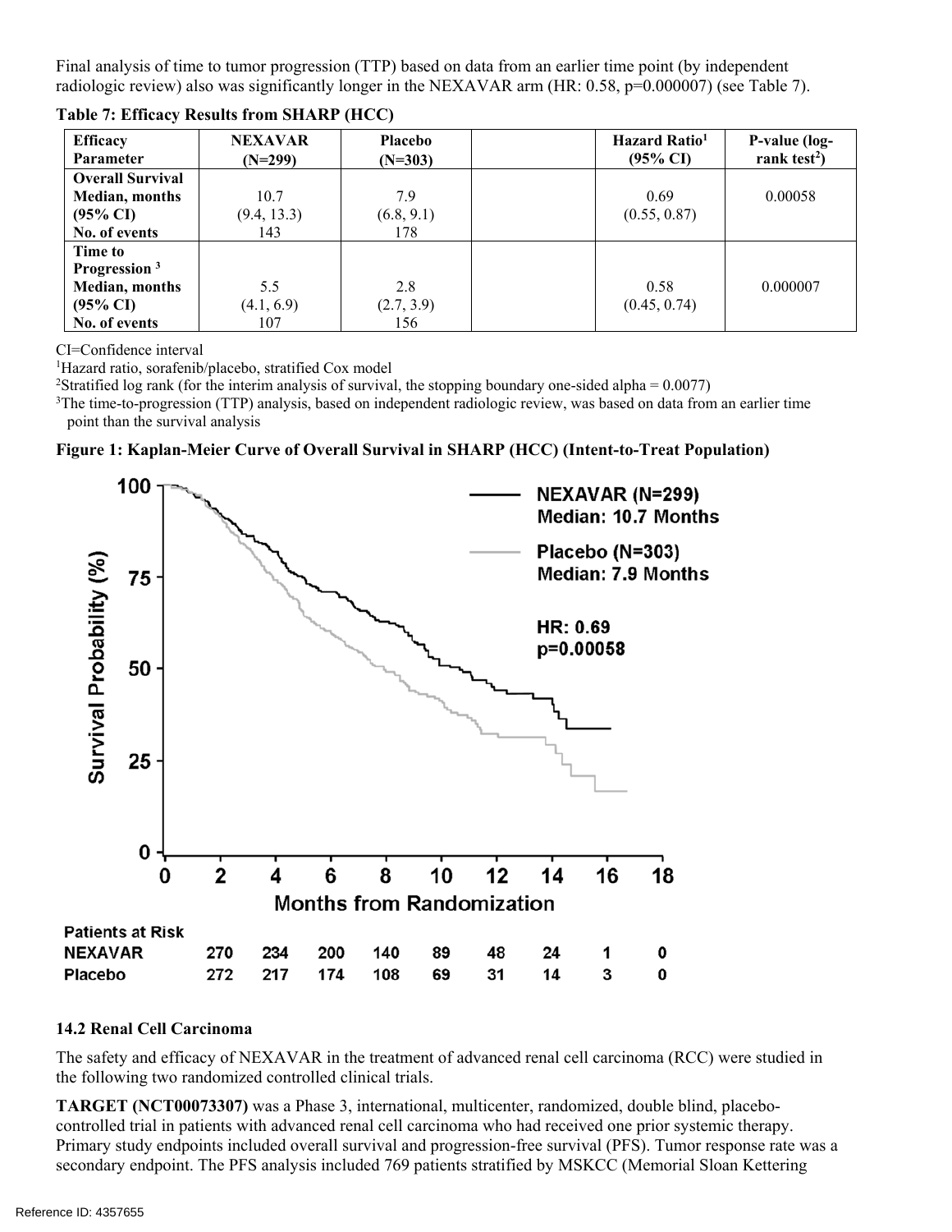Final analysis of time to tumor progression (TTP) based on data from an earlier time point (by independent radiologic review) also was significantly longer in the NEXAVAR arm (HR: 0.58, p=0.000007) (see Table 7).

| <b>Efficacy</b>          | <b>NEXAVAR</b> | <b>Placebo</b> | Hazard Ratio <sup>1</sup> | P-value (log-            |
|--------------------------|----------------|----------------|---------------------------|--------------------------|
| <b>Parameter</b>         | $(N=299)$      | $(N=303)$      | $(95\% \text{ CI})$       | rank test <sup>2</sup> ) |
| <b>Overall Survival</b>  |                |                |                           |                          |
| <b>Median, months</b>    | 10.7           | 7.9            | 0.69                      | 0.00058                  |
| $(95\% \text{ CI})$      | (9.4, 13.3)    | (6.8, 9.1)     | (0.55, 0.87)              |                          |
| No. of events            | 143            | 178            |                           |                          |
| Time to                  |                |                |                           |                          |
| Progression <sup>3</sup> |                |                |                           |                          |
| <b>Median, months</b>    | 5.5            | 2.8            | 0.58                      | 0.000007                 |
| $(95\% \text{ CI})$      | (4.1, 6.9)     | (2.7, 3.9)     | (0.45, 0.74)              |                          |
| No. of events            | 107            | 156            |                           |                          |

**Table 7: Efficacy Results from SHARP (HCC)**

CI=Confidence interval

<sup>1</sup>Hazard ratio, sorafenib/placebo, stratified Cox model<br><sup>2</sup>Stratified log rank (for the interimanalysis of survival

<sup>2</sup>Stratified log rank (for the interim analysis of survival, the stopping boundary one-sided alpha =  $0.0077$ )

<sup>3</sup>The time-to-progression (TTP) analysis, based on independent radiologic review, was based on data from an earlier time point than the survival analysis

**Figure 1: Kaplan-Meier Curve of Overall Survival in SHARP (HCC) (Intent-to-Treat Population)** 



#### **14.2 Renal Cell Carcinoma**

The safety and efficacy of NEXAVAR in the treatment of advanced renal cell carcinoma (RCC) were studied in the following two randomized controlled clinical trials.

**TARGET (NCT00073307)** was a Phase 3, international, multicenter, randomized, double blind, placebocontrolled trial in patients with advanced renal cell carcinoma who had received one prior systemic therapy. Primary study endpoints included overall survival and progression-free survival (PFS). Tumor response rate was a secondary endpoint. The PFS analysis included 769 patients stratified by MSKCC (Memorial Sloan Kettering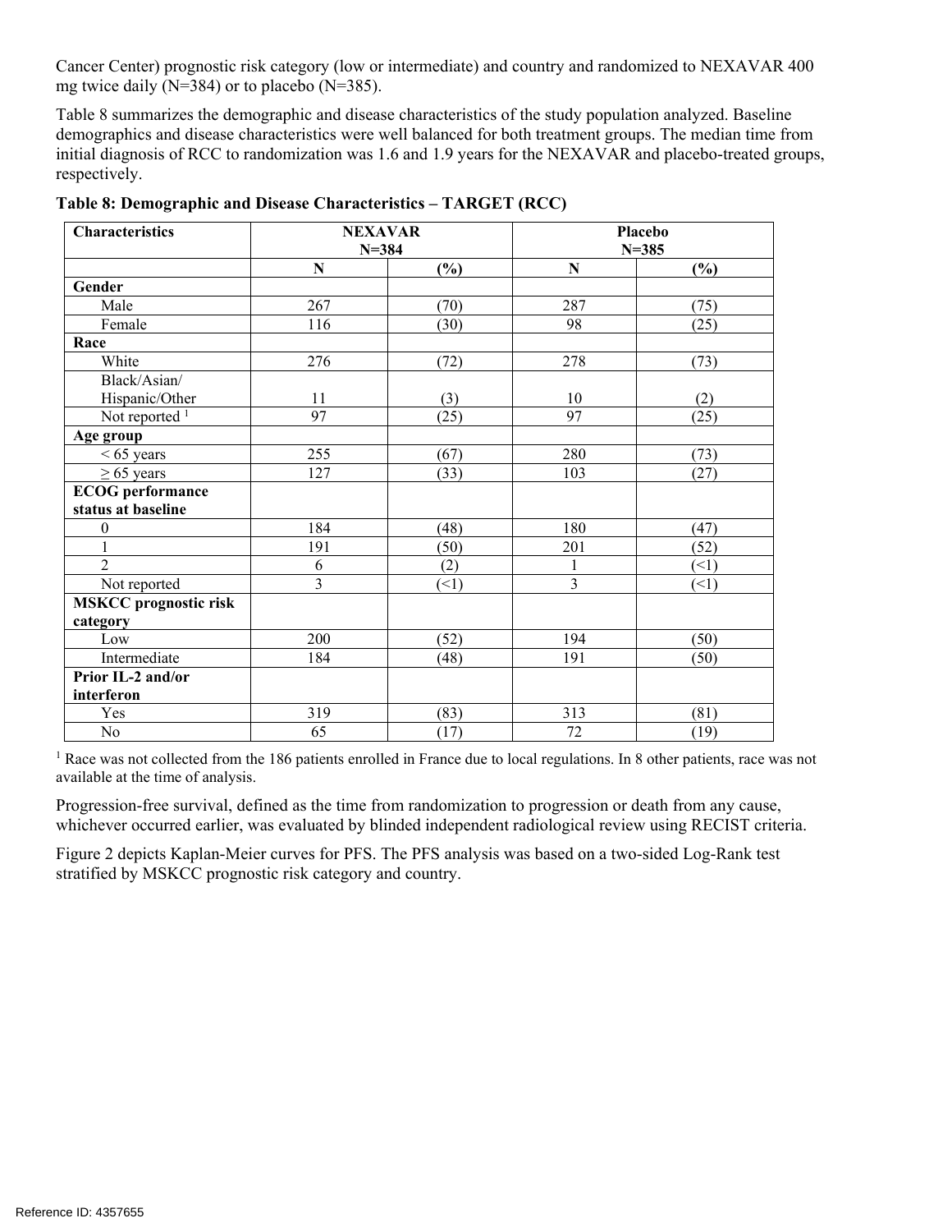Cancer Center) prognostic risk category (low or intermediate) and country and randomized to NEXAVAR 400 mg twice daily (N=384) or to placebo (N=385).

Table 8 summarizes the demographic and disease characteristics of the study population analyzed. Baseline demographics and disease characteristics were well balanced for both treatment groups. The median time from initial diagnosis of RCC to randomization was 1.6 and 1.9 years for the NEXAVAR and placebo-treated groups, respectively.

| <b>Characteristics</b>       | <b>NEXAVAR</b><br>$N = 384$ |      |                | Placebo<br>$N = 385$ |
|------------------------------|-----------------------------|------|----------------|----------------------|
|                              | ${\bf N}$                   | (%)  | N              | (%)                  |
| Gender                       |                             |      |                |                      |
| Male                         | 267                         | (70) | 287            | (75)                 |
| Female                       | 116                         | (30) | 98             | (25)                 |
| Race                         |                             |      |                |                      |
| White                        | 276                         | (72) | 278            | (73)                 |
| Black/Asian/                 |                             |      |                |                      |
| Hispanic/Other               | 11                          | (3)  | 10             | (2)                  |
| Not reported $1$             | 97                          | (25) | 97             | (25)                 |
| Age group                    |                             |      |                |                      |
| $< 65$ years                 | 255                         | (67) | 280            | (73)                 |
| $\geq 65$ years              | 127                         | (33) | 103            | (27)                 |
| <b>ECOG</b> performance      |                             |      |                |                      |
| status at baseline           |                             |      |                |                      |
| $\boldsymbol{0}$             | 184                         | (48) | 180            | (47)                 |
| $\mathbf{1}$                 | 191                         | (50) | 201            | (52)                 |
| $\overline{2}$               | $\sqrt{6}$                  | (2)  | 1              | (1)                  |
| Not reported                 | $\overline{3}$              | (1)  | $\overline{3}$ | (1)                  |
| <b>MSKCC</b> prognostic risk |                             |      |                |                      |
| category                     |                             |      |                |                      |
| Low                          | 200                         | (52) | 194            | (50)                 |
| Intermediate                 | 184                         | (48) | 191            | (50)                 |
| Prior IL-2 and/or            |                             |      |                |                      |
| interferon                   |                             |      |                |                      |
| Yes                          | 319                         | (83) | 313            | (81)                 |
| No                           | 65                          | (17) | 72             | (19)                 |

**Table 8: Demographic and Disease Characteristics – TARGET (RCC)** 

<sup>1</sup> Race was not collected from the 186 patients enrolled in France due to local regulations. In 8 other patients, race was not available at the time of analysis.

Progression-free survival, defined as the time from randomization to progression or death from any cause, whichever occurred earlier, was evaluated by blinded independent radiological review using RECIST criteria.

Figure 2 depicts Kaplan-Meier curves for PFS. The PFS analysis was based on a two-sided Log-Rank test stratified by MSKCC prognostic risk category and country.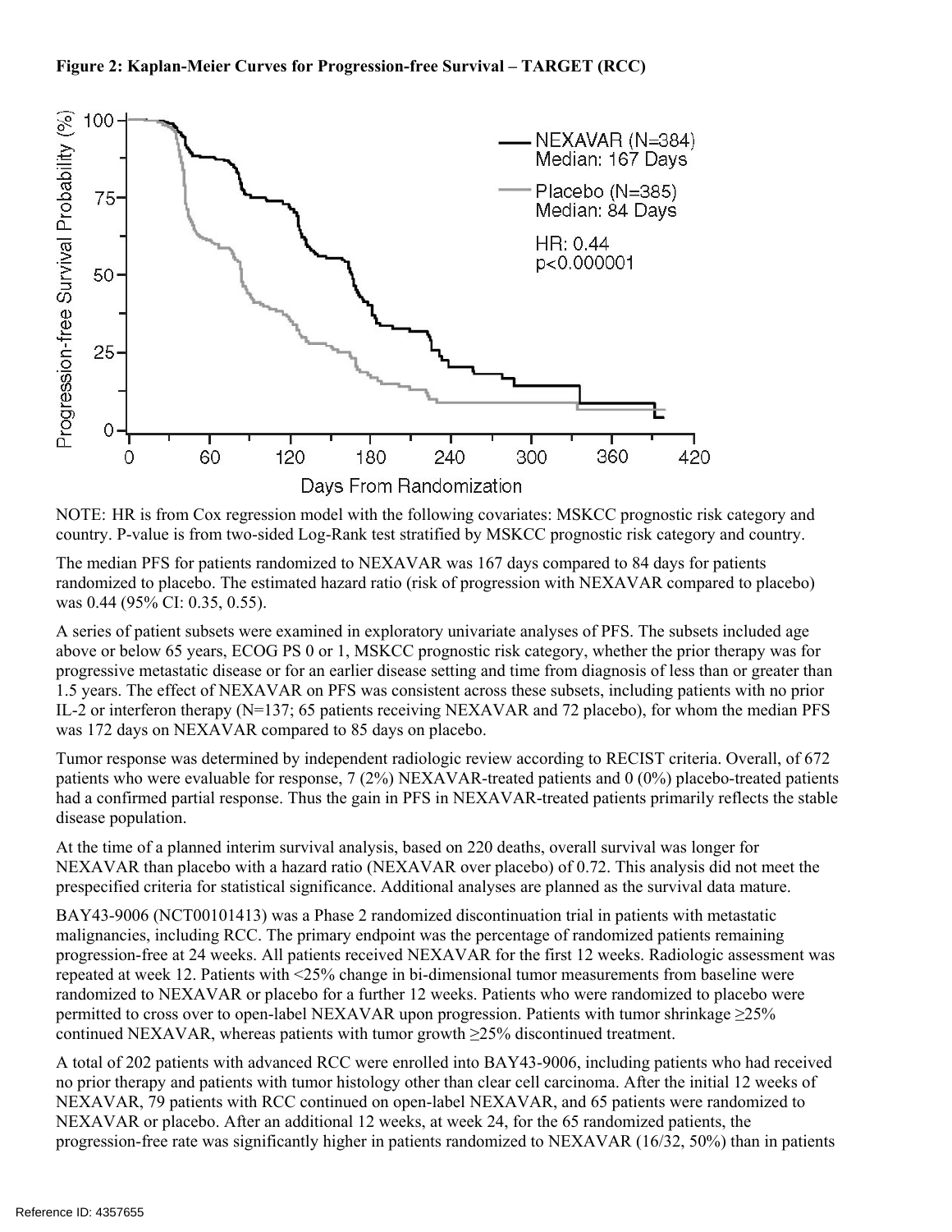#### **Figure 2: Kaplan-Meier Curves for Progression-free Survival – TARGET (RCC)**



NOTE: HR is from Cox regression model with the following covariates: MSKCC prognostic risk category and country. P-value is from two-sided Log-Rank test stratified by MSKCC prognostic risk category and country.

The median PFS for patients randomized to NEXAVAR was 167 days compared to 84 days for patients randomized to placebo. The estimated hazard ratio (risk of progression with NEXAVAR compared to placebo) was 0.44 (95% CI: 0.35, 0.55).

A series of patient subsets were examined in exploratory univariate analyses of PFS. The subsets included age above or below 65 years, ECOG PS 0 or 1, MSKCC prognostic risk category, whether the prior therapy was for progressive metastatic disease or for an earlier disease setting and time from diagnosis of less than or greater than 1.5 years. The effect of NEXAVAR on PFS was consistent across these subsets, including patients with no prior IL-2 or interferon therapy (N=137; 65 patients receiving NEXAVAR and 72 placebo), for whom the median PFS was 172 days on NEXAVAR compared to 85 days on placebo.

Tumor response was determined by independent radiologic review according to RECIST criteria. Overall, of 672 patients who were evaluable for response, 7 (2%) NEXAVAR-treated patients and 0 (0%) placebo-treated patients had a confirmed partial response. Thus the gain in PFS in NEXAVAR-treated patients primarily reflects the stable disease population.

At the time of a planned interim survival analysis, based on 220 deaths, overall survival was longer for NEXAVAR than placebo with a hazard ratio (NEXAVAR over placebo) of 0.72. This analysis did not meet the prespecified criteria for statistical significance. Additional analyses are planned as the survival data mature.

BAY43-9006 (NCT00101413) was a Phase 2 randomized discontinuation trial in patients with metastatic malignancies, including RCC. The primary endpoint was the percentage of randomized patients remaining progression-free at 24 weeks. All patients received NEXAVAR for the first 12 weeks. Radiologic assessment was repeated at week 12. Patients with <25% change in bi-dimensional tumor measurements from baseline were randomized to NEXAVAR or placebo for a further 12 weeks. Patients who were randomized to placebo were permitted to cross over to open-label NEXAVAR upon progression. Patients with tumor shrinkage  $\geq$ 25% continued NEXAVAR, whereas patients with tumor growth ≥25% discontinued treatment.

A total of 202 patients with advanced RCC were enrolled into BAY43-9006, including patients who had received no prior therapy and patients with tumor histology other than clear cell carcinoma. After the initial 12 weeks of NEXAVAR, 79 patients with RCC continued on open-label NEXAVAR, and 65 patients were randomized to NEXAVAR or placebo. After an additional 12 weeks, at week 24, for the 65 randomized patients, the progression-free rate was significantly higher in patients randomized to NEXAVAR (16/32, 50%) than in patients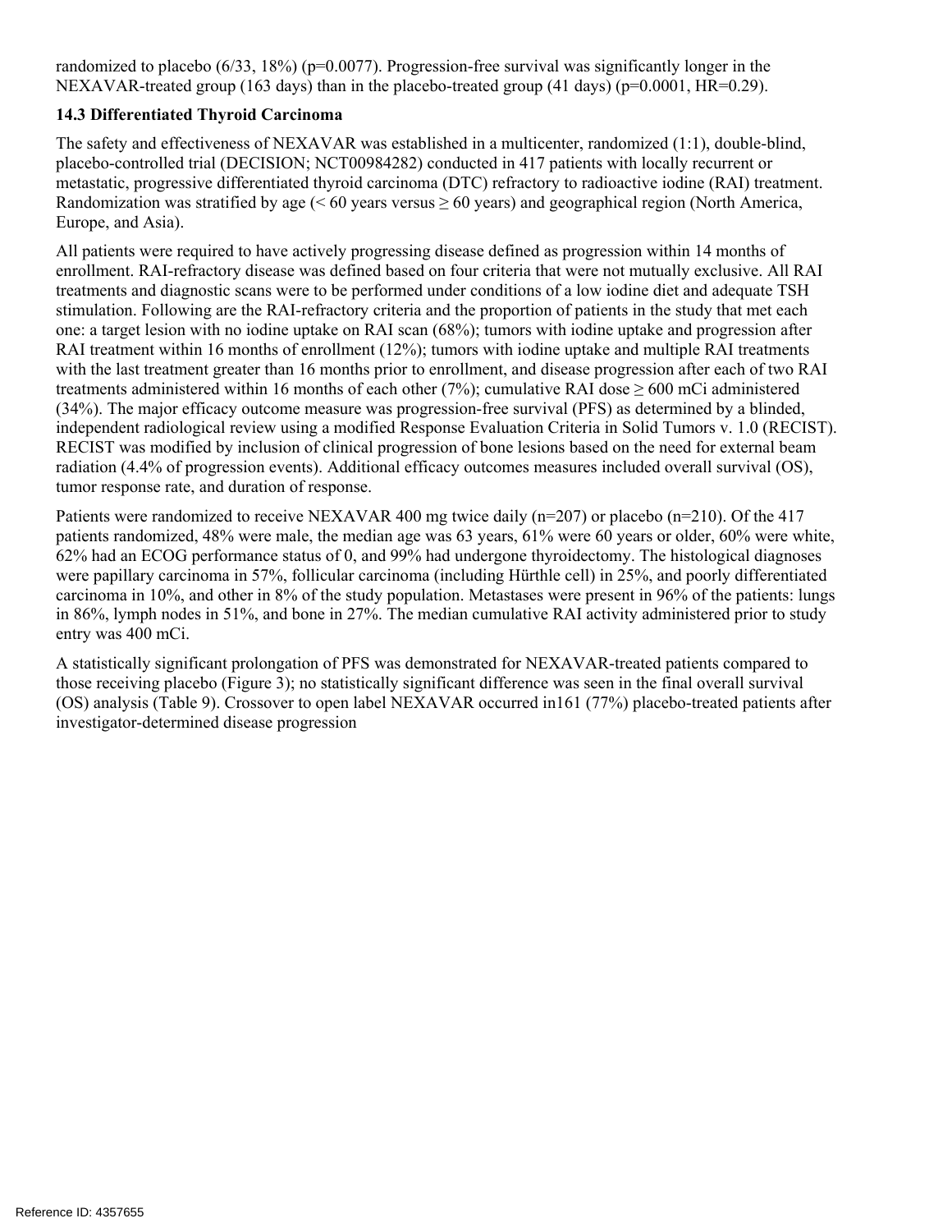randomized to placebo  $(6/33, 18%)$  ( $p=0.0077$ ). Progression-free survival was significantly longer in the NEXAVAR-treated group (163 days) than in the placebo-treated group (41 days) (p=0.0001, HR=0.29).

### **14.3 Differentiated Thyroid Carcinoma**

The safety and effectiveness of NEXAVAR was established in a multicenter, randomized (1:1), double-blind, placebo-controlled trial (DECISION; NCT00984282) conducted in 417 patients with locally recurrent or metastatic, progressive differentiated thyroid carcinoma (DTC) refractory to radioactive iodine (RAI) treatment. Randomization was stratified by age (< 60 years versus  $\geq$  60 years) and geographical region (North America, Europe, and Asia).

All patients were required to have actively progressing disease defined as progression within 14 months of enrollment. RAI-refractory disease was defined based on four criteria that were not mutually exclusive. All RAI treatments and diagnostic scans were to be performed under conditions of a low iodine diet and adequate TSH stimulation. Following are the RAI-refractory criteria and the proportion of patients in the study that met each one: a target lesion with no iodine uptake on RAI scan (68%); tumors with iodine uptake and progression after RAI treatment within 16 months of enrollment (12%); tumors with iodine uptake and multiple RAI treatments with the last treatment greater than 16 months prior to enrollment, and disease progression after each of two RAI treatments administered within 16 months of each other (7%); cumulative RAI dose  $\geq 600$  mCi administered (34%). The major efficacy outcome measure was progression-free survival (PFS) as determined by a blinded, independent radiological review using a modified Response Evaluation Criteria in Solid Tumors v. 1.0 (RECIST). RECIST was modified by inclusion of clinical progression of bone lesions based on the need for external beam radiation (4.4% of progression events). Additional efficacy outcomes measures included overall survival (OS), tumor response rate, and duration of response.

Patients were randomized to receive NEXAVAR 400 mg twice daily (n=207) or placebo (n=210). Of the 417 patients randomized, 48% were male, the median age was 63 years, 61% were 60 years or older, 60% were white, 62% had an ECOG performance status of 0, and 99% had undergone thyroidectomy. The histological diagnoses were papillary carcinoma in 57%, follicular carcinoma (including Hürthle cell) in 25%, and poorly differentiated carcinoma in 10%, and other in 8% of the study population. Metastases were present in 96% of the patients: lungs in 86%, lymph nodes in 51%, and bone in 27%. The median cumulative RAI activity administered prior to study entry was 400 mCi.

A statistically significant prolongation of PFS was demonstrated for NEXAVAR-treated patients compared to those receiving placebo (Figure 3); no statistically significant difference was seen in the final overall survival (OS) analysis (Table 9). Crossover to open label NEXAVAR occurred in161 (77%) placebo-treated patients after investigator-determined disease progression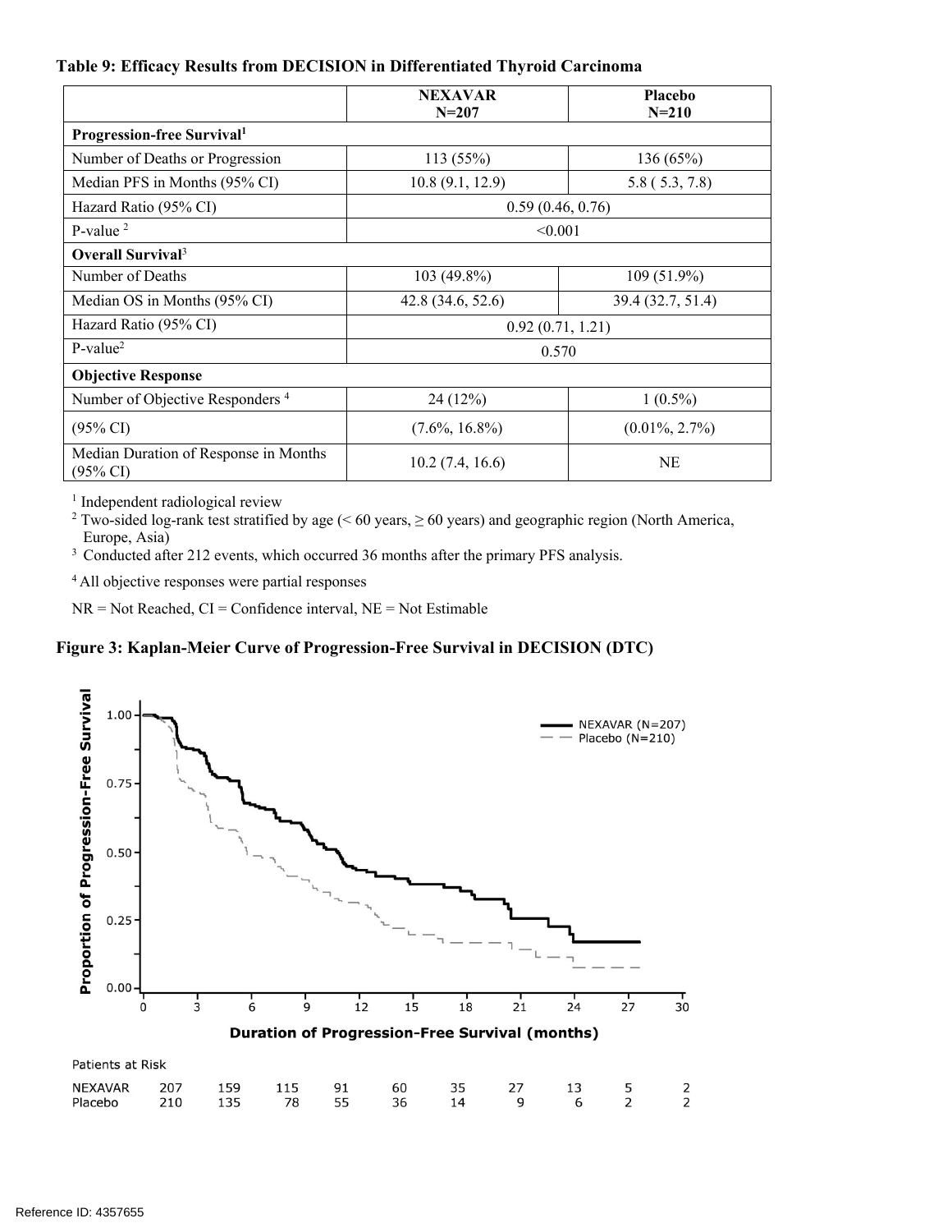#### **Table 9: Efficacy Results from DECISION in Differentiated Thyroid Carcinoma**

|                                                              | <b>NEXAVAR</b><br>$N = 207$ | <b>Placebo</b><br>$N = 210$ |  |  |  |  |
|--------------------------------------------------------------|-----------------------------|-----------------------------|--|--|--|--|
| <b>Progression-free Survival</b> <sup>1</sup>                |                             |                             |  |  |  |  |
| Number of Deaths or Progression                              | 113 (55%)                   | 136 (65%)                   |  |  |  |  |
| Median PFS in Months (95% CI)                                | 10.8(9.1, 12.9)             | 5.8 (5.3, 7.8)              |  |  |  |  |
| Hazard Ratio (95% CI)                                        |                             | 0.59(0.46, 0.76)            |  |  |  |  |
| P-value $2$                                                  |                             | < 0.001                     |  |  |  |  |
| Overall Survival <sup>3</sup>                                |                             |                             |  |  |  |  |
| Number of Deaths                                             | 103 (49.8%)                 | 109 (51.9%)                 |  |  |  |  |
| Median OS in Months (95% CI)                                 | 42.8 (34.6, 52.6)           | 39.4 (32.7, 51.4)           |  |  |  |  |
| Hazard Ratio (95% CI)                                        |                             | 0.92(0.71, 1.21)            |  |  |  |  |
| $P-value2$                                                   |                             | 0.570                       |  |  |  |  |
| <b>Objective Response</b>                                    |                             |                             |  |  |  |  |
| Number of Objective Responders <sup>4</sup>                  | 24 (12%)                    | $1(0.5\%)$                  |  |  |  |  |
| $(95\% \text{ CI})$                                          | $(7.6\%, 16.8\%)$           | $(0.01\%, 2.7\%)$           |  |  |  |  |
| Median Duration of Response in Months<br>$(95\% \text{ CI})$ | 10.2(7.4, 16.6)             | NE                          |  |  |  |  |

<sup>1</sup> Independent radiological review

<sup>2</sup> Two-sided log-rank test stratified by age (< 60 years,  $\geq$  60 years) and geographic region (North America,

Europe, Asia)

<sup>3</sup> Conducted after 212 events, which occurred 36 months after the primary PFS analysis.

4 All objective responses were partial responses

 $NR = Not Reached, CI = Confidence interval, NE = Not Estimable$ 

#### **Figure 3: Kaplan-Meier Curve of Progression-Free Survival in DECISION (DTC)**

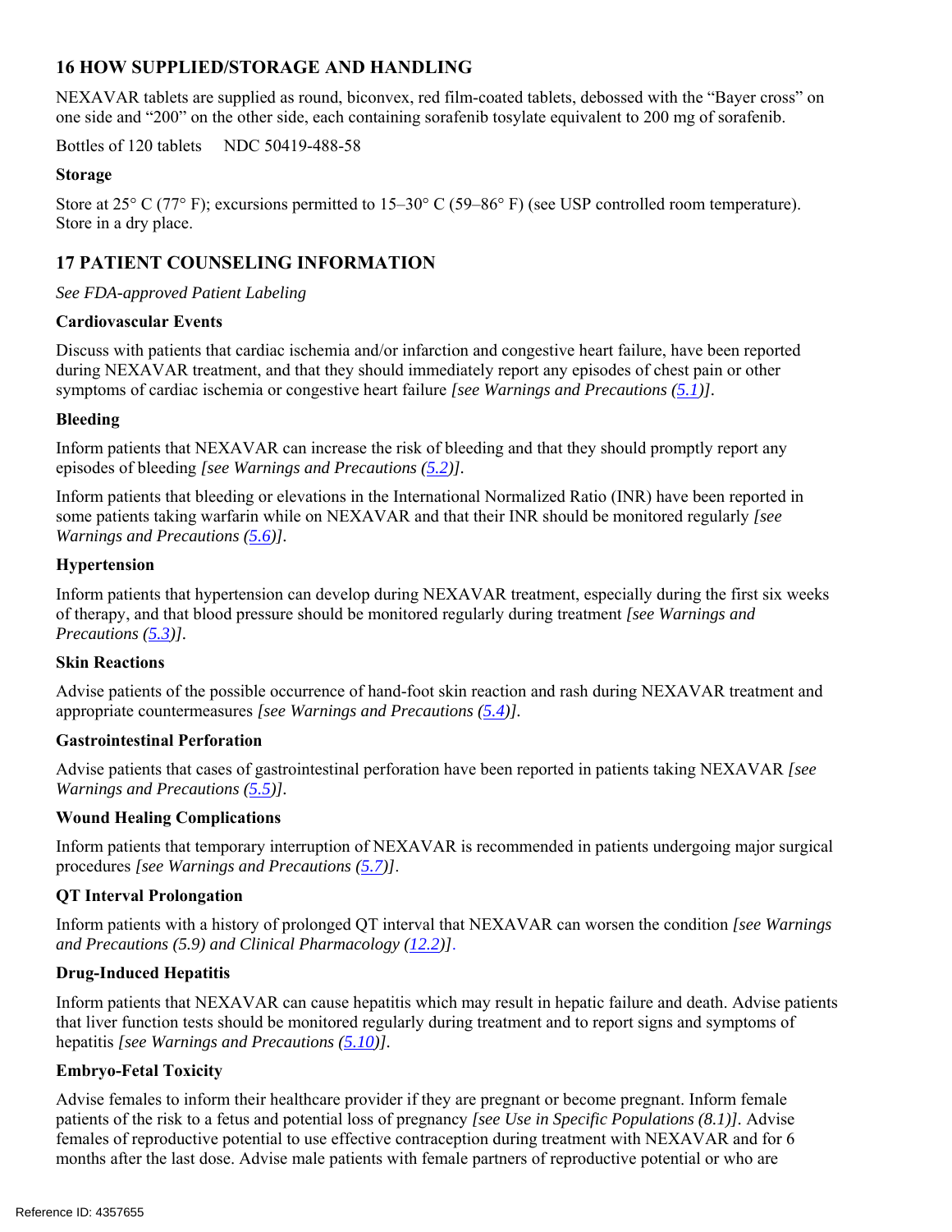# **16 HOW SUPPLIED/STORAGE AND HANDLING**

NEXAVAR tablets are supplied as round, biconvex, red film-coated tablets, debossed with the "Bayer cross" on one side and "200" on the other side, each containing sorafenib tosylate equivalent to 200 mg of sorafenib.

Bottles of 120 tablets NDC 50419-488-58

# **Storage**

Store at 25° C (77° F); excursions permitted to 15–30° C (59–86° F) (see USP controlled room temperature). Store in a dry place.

# **17 PATIENT COUNSELING INFORMATION**

### *See FDA-approved Patient Labeling*

### **Cardiovascular Events**

Discuss with patients that cardiac ischemia and/or infarction and congestive heart failure, have been reported during NEXAVAR treatment, and that they should immediately report any episodes of chest pain or other symptoms of cardiac ischemia or congestive heart failure *[see Warnings and Precautions (5.1)].* 

# **Bleeding**

Inform patients that NEXAVAR can increase the risk of bleeding and that they should promptly report any episodes of bleeding *[see Warnings and Precautions (5.2)].*

Inform patients that bleeding or elevations in the International Normalized Ratio (INR) have been reported in some patients taking warfarin while on NEXAVAR and that their INR should be monitored regularly *[see Warnings and Precautions (5.6)].*

### **Hypertension**

Inform patients that hypertension can develop during NEXAVAR treatment, especially during the first six weeks of therapy, and that blood pressure should be monitored regularly during treatment *[see Warnings and Precautions (5.3)].*

# **Skin Reactions**

Advise patients of the possible occurrence of hand-foot skin reaction and rash during NEXAVAR treatment and appropriate countermeasures *[see Warnings and Precautions (5.4)].* 

# **Gastrointestinal Perforation**

Advise patients that cases of gastrointestinal perforation have been reported in patients taking NEXAVAR *[see Warnings and Precautions (5.5)].*

#### **Wound Healing Complications**

Inform patients that temporary interruption of NEXAVAR is recommended in patients undergoing major surgical procedures *[see Warnings and Precautions (5.7)]*.

# **QT Interval Prolongation**

Inform patients with a history of prolonged QT interval that NEXAVAR can worsen the condition *[see Warnings and Precautions (5.9) and Clinical Pharmacology (12.2)]*.

# **Drug-Induced Hepatitis**

Inform patients that NEXAVAR can cause hepatitis which may result in hepatic failure and death. Advise patients that liver function tests should be monitored regularly during treatment and to report signs and symptoms of hepatitis *[see Warnings and Precautions (5.10)].*

# **Embryo-Fetal Toxicity**

Advise females to inform their healthcare provider if they are pregnant or become pregnant. Inform female patients of the risk to a fetus and potential loss of pregnancy *[see Use in Specific Populations (8.1)].* Advise females of reproductive potential to use effective contraception during treatment with NEXAVAR and for 6 months after the last dose. Advise male patients with female partners of reproductive potential or who are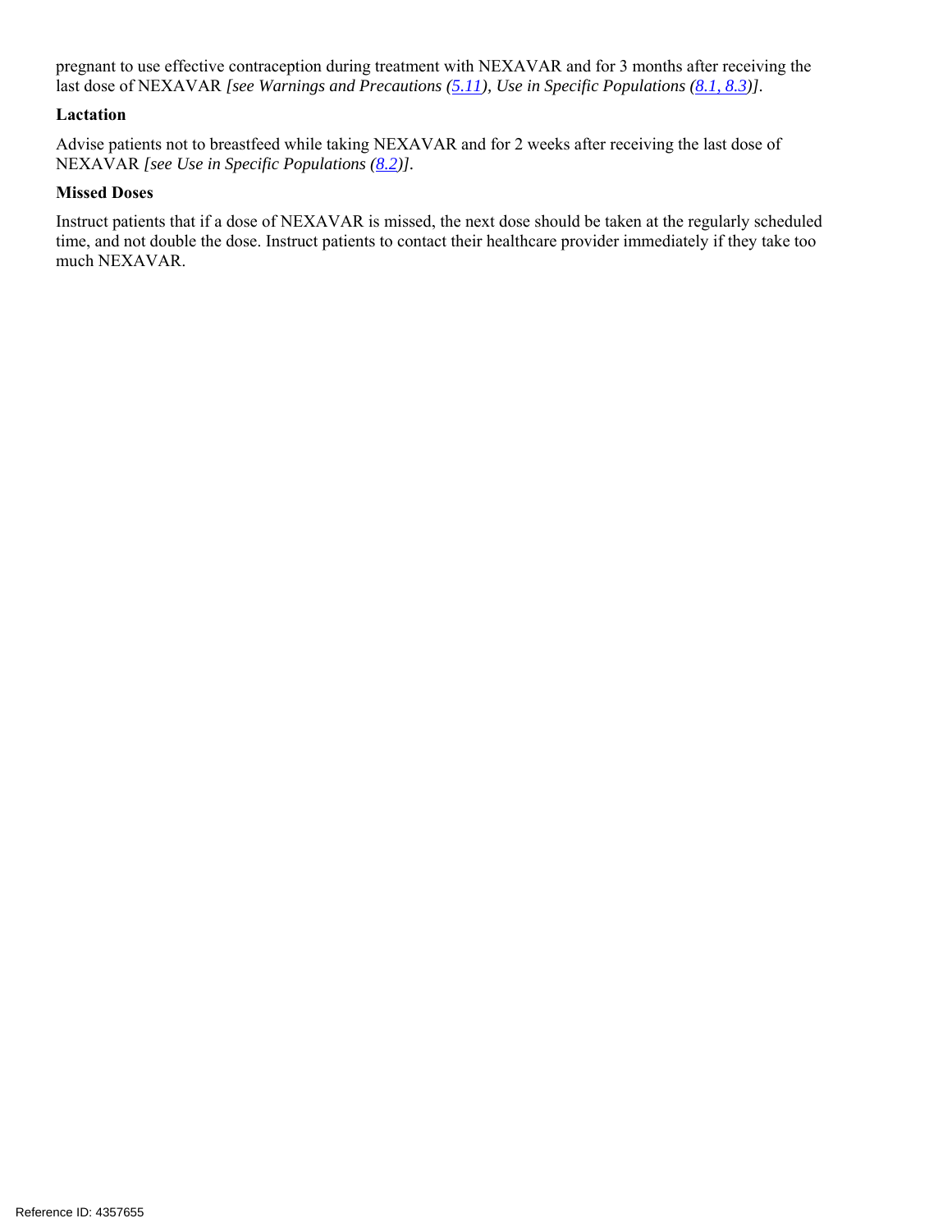pregnant to use effective contraception during treatment with NEXAVAR and for 3 months after receiving the last dose of NEXAVAR *[see Warnings and Precautions (5.11), Use in Specific Populations (8.1, 8.3)].*

#### **Lactation**

Advise patients not to breastfeed while taking NEXAVAR and for 2 weeks after receiving the last dose of NEXAVAR *[see Use in Specific Populations (8.2)].* 

#### **Missed Doses**

Instruct patients that if a dose of NEXAVAR is missed, the next dose should be taken at the regularly scheduled time, and not double the dose. Instruct patients to contact their healthcare provider immediately if they take too much NEXAVAR.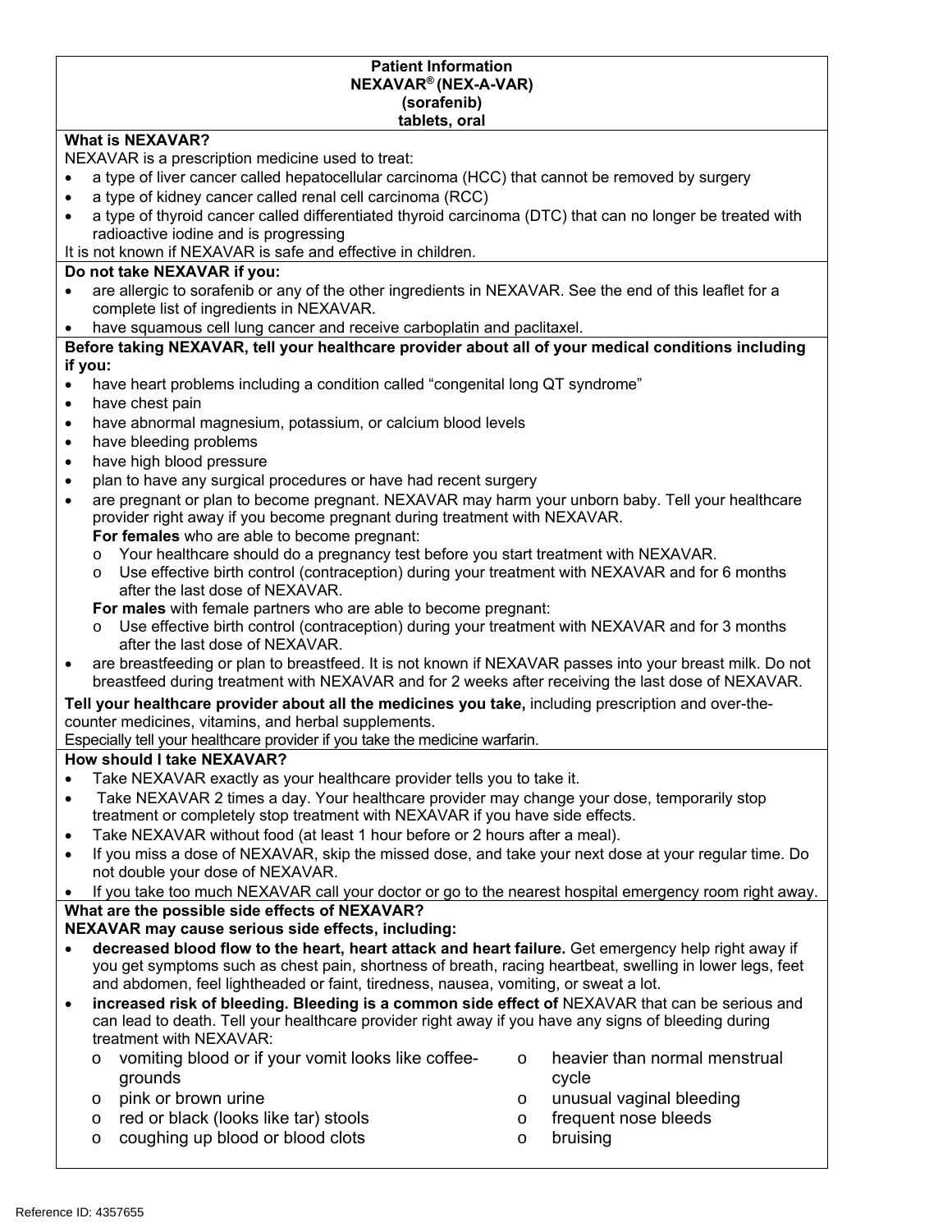#### **Patient Information NEXAVAR® (NEX-A-VAR) (sorafenib) tablets, oral**

#### **What is NEXAVAR?**

NEXAVAR is a prescription medicine used to treat:

- a type of liver cancer called hepatocellular carcinoma (HCC) that cannot be removed by surgery
- a type of kidney cancer called renal cell carcinoma (RCC)
- a type of thyroid cancer called differentiated thyroid carcinoma (DTC) that can no longer be treated with radioactive iodine and is progressing
- It is not known if NEXAVAR is safe and effective in children.

#### **Do not take NEXAVAR if you:**

- are allergic to sorafenib or any of the other ingredients in NEXAVAR. See the end of this leaflet for a complete list of ingredients in NEXAVAR.
- have squamous cell lung cancer and receive carboplatin and paclitaxel.

#### **Before taking NEXAVAR, tell your healthcare provider about all of your medical conditions including if you:**

- have heart problems including a condition called "congenital long QT syndrome"
- have chest pain
- have abnormal magnesium, potassium, or calcium blood levels
- have bleeding problems
- have high blood pressure
- plan to have any surgical procedures or have had recent surgery
- are pregnant or plan to become pregnant. NEXAVAR may harm your unborn baby. Tell your healthcare provider right away if you become pregnant during treatment with NEXAVAR.
	- **For females** who are able to become pregnant:
	- o Your healthcare should do a pregnancy test before you start treatment with NEXAVAR.
	- o Use effective birth control (contraception) during your treatment with NEXAVAR and for 6 months after the last dose of NEXAVAR.

**For males** with female partners who are able to become pregnant:

- Use effective birth control (contraception) during your treatment with NEXAVAR and for 3 months after the last dose of NEXAVAR.
- are breastfeeding or plan to breastfeed. It is not known if NEXAVAR passes into your breast milk. Do not breastfeed during treatment with NEXAVAR and for 2 weeks after receiving the last dose of NEXAVAR.

#### **Tell your healthcare provider about all the medicines you take,** including prescription and over-thecounter medicines, vitamins, and herbal supplements.

Especially tell your healthcare provider if you take the medicine warfarin.

# **How should I take NEXAVAR?**

- Take NEXAVAR exactly as your healthcare provider tells you to take it.
- Take NEXAVAR 2 times a day. Your healthcare provider may change your dose, temporarily stop treatment or completely stop treatment with NEXAVAR if you have side effects.
- Take NEXAVAR without food (at least 1 hour before or 2 hours after a meal).
- If you miss a dose of NEXAVAR, skip the missed dose, and take your next dose at your regular time. Do not double your dose of NEXAVAR.

 If you take too much NEXAVAR call your doctor or go to the nearest hospital emergency room right away. **What are the possible side effects of NEXAVAR?** 

# **NEXAVAR may cause serious side effects, including:**

- **decreased blood flow to the heart, heart attack and heart failure.** Get emergency help right away if you get symptoms such as chest pain, shortness of breath, racing heartbeat, swelling in lower legs, feet and abdomen, feel lightheaded or faint, tiredness, nausea, vomiting, or sweat a lot.
- **increased risk of bleeding. Bleeding is a common side effect of** NEXAVAR that can be serious and can lead to death. Tell your healthcare provider right away if you have any signs of bleeding during treatment with NEXAVAR:
	- o vomiting blood or if your vomit looks like coffeegrounds
	- o pink or brown urine
	- o red or black (looks like tar) stools
	- o coughing up blood or blood clots
- o heavier than normal menstrual cycle
- o unusual vaginal bleeding
- o frequent nose bleeds
- o bruising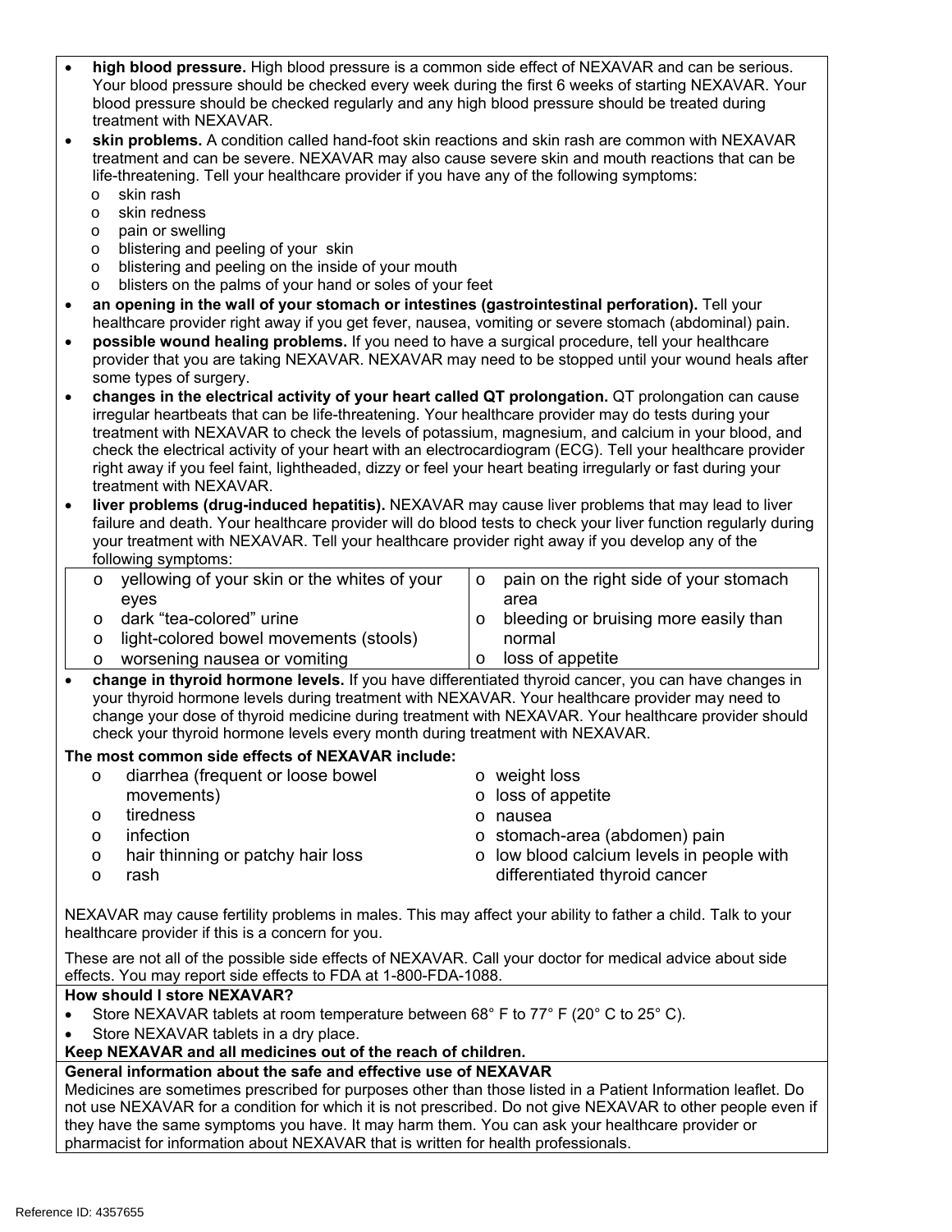| $\bullet$                                                                                                                                                        | high blood pressure. High blood pressure is a common side effect of NEXAVAR and can be serious.<br>Your blood pressure should be checked every week during the first 6 weeks of starting NEXAVAR. Your<br>blood pressure should be checked regularly and any high blood pressure should be treated during<br>treatment with NEXAVAR.                                                           |                                                   |  |  |  |
|------------------------------------------------------------------------------------------------------------------------------------------------------------------|------------------------------------------------------------------------------------------------------------------------------------------------------------------------------------------------------------------------------------------------------------------------------------------------------------------------------------------------------------------------------------------------|---------------------------------------------------|--|--|--|
| $\bullet$                                                                                                                                                        | skin problems. A condition called hand-foot skin reactions and skin rash are common with NEXAVAR<br>treatment and can be severe. NEXAVAR may also cause severe skin and mouth reactions that can be<br>life-threatening. Tell your healthcare provider if you have any of the following symptoms:<br>skin rash<br>$\circ$                                                                      |                                                   |  |  |  |
|                                                                                                                                                                  | skin redness<br>$\circ$                                                                                                                                                                                                                                                                                                                                                                        |                                                   |  |  |  |
|                                                                                                                                                                  | pain or swelling<br>O                                                                                                                                                                                                                                                                                                                                                                          |                                                   |  |  |  |
|                                                                                                                                                                  | blistering and peeling of your skin<br>$\circ$                                                                                                                                                                                                                                                                                                                                                 |                                                   |  |  |  |
|                                                                                                                                                                  | blistering and peeling on the inside of your mouth<br>$\circ$                                                                                                                                                                                                                                                                                                                                  |                                                   |  |  |  |
|                                                                                                                                                                  | blisters on the palms of your hand or soles of your feet<br>$\circ$                                                                                                                                                                                                                                                                                                                            |                                                   |  |  |  |
| $\bullet$                                                                                                                                                        | an opening in the wall of your stomach or intestines (gastrointestinal perforation). Tell your<br>healthcare provider right away if you get fever, nausea, vomiting or severe stomach (abdominal) pain.                                                                                                                                                                                        |                                                   |  |  |  |
| $\bullet$                                                                                                                                                        | possible wound healing problems. If you need to have a surgical procedure, tell your healthcare                                                                                                                                                                                                                                                                                                |                                                   |  |  |  |
|                                                                                                                                                                  | provider that you are taking NEXAVAR. NEXAVAR may need to be stopped until your wound heals after<br>some types of surgery.                                                                                                                                                                                                                                                                    |                                                   |  |  |  |
|                                                                                                                                                                  | changes in the electrical activity of your heart called QT prolongation. QT prolongation can cause                                                                                                                                                                                                                                                                                             |                                                   |  |  |  |
|                                                                                                                                                                  | irregular heartbeats that can be life-threatening. Your healthcare provider may do tests during your<br>treatment with NEXAVAR to check the levels of potassium, magnesium, and calcium in your blood, and                                                                                                                                                                                     |                                                   |  |  |  |
|                                                                                                                                                                  | check the electrical activity of your heart with an electrocardiogram (ECG). Tell your healthcare provider                                                                                                                                                                                                                                                                                     |                                                   |  |  |  |
|                                                                                                                                                                  | right away if you feel faint, lightheaded, dizzy or feel your heart beating irregularly or fast during your                                                                                                                                                                                                                                                                                    |                                                   |  |  |  |
|                                                                                                                                                                  | treatment with NEXAVAR.                                                                                                                                                                                                                                                                                                                                                                        |                                                   |  |  |  |
| $\bullet$                                                                                                                                                        | liver problems (drug-induced hepatitis). NEXAVAR may cause liver problems that may lead to liver<br>failure and death. Your healthcare provider will do blood tests to check your liver function regularly during                                                                                                                                                                              |                                                   |  |  |  |
|                                                                                                                                                                  | your treatment with NEXAVAR. Tell your healthcare provider right away if you develop any of the                                                                                                                                                                                                                                                                                                |                                                   |  |  |  |
|                                                                                                                                                                  | following symptoms:                                                                                                                                                                                                                                                                                                                                                                            |                                                   |  |  |  |
|                                                                                                                                                                  | yellowing of your skin or the whites of your<br>O                                                                                                                                                                                                                                                                                                                                              | pain on the right side of your stomach<br>$\circ$ |  |  |  |
|                                                                                                                                                                  | eyes                                                                                                                                                                                                                                                                                                                                                                                           | area                                              |  |  |  |
|                                                                                                                                                                  | dark "tea-colored" urine<br>O                                                                                                                                                                                                                                                                                                                                                                  | bleeding or bruising more easily than<br>$\circ$  |  |  |  |
|                                                                                                                                                                  | light-colored bowel movements (stools)<br>$\circ$                                                                                                                                                                                                                                                                                                                                              | normal                                            |  |  |  |
|                                                                                                                                                                  | worsening nausea or vomiting<br>O                                                                                                                                                                                                                                                                                                                                                              | loss of appetite<br>$\circ$                       |  |  |  |
| $\bullet$                                                                                                                                                        | change in thyroid hormone levels. If you have differentiated thyroid cancer, you can have changes in<br>your thyroid hormone levels during treatment with NEXAVAR. Your healthcare provider may need to<br>change your dose of thyroid medicine during treatment with NEXAVAR. Your healthcare provider should<br>check your thyroid hormone levels every month during treatment with NEXAVAR. |                                                   |  |  |  |
|                                                                                                                                                                  | The most common side effects of NEXAVAR include:                                                                                                                                                                                                                                                                                                                                               |                                                   |  |  |  |
|                                                                                                                                                                  | diarrhea (frequent or loose bowel<br>O                                                                                                                                                                                                                                                                                                                                                         | o weight loss                                     |  |  |  |
|                                                                                                                                                                  | movements)                                                                                                                                                                                                                                                                                                                                                                                     | o loss of appetite                                |  |  |  |
|                                                                                                                                                                  | tiredness<br>O                                                                                                                                                                                                                                                                                                                                                                                 | o nausea                                          |  |  |  |
|                                                                                                                                                                  | infection<br>$\circ$                                                                                                                                                                                                                                                                                                                                                                           | o stomach-area (abdomen) pain                     |  |  |  |
|                                                                                                                                                                  | hair thinning or patchy hair loss<br>O                                                                                                                                                                                                                                                                                                                                                         | o low blood calcium levels in people with         |  |  |  |
|                                                                                                                                                                  | rash<br>O                                                                                                                                                                                                                                                                                                                                                                                      | differentiated thyroid cancer                     |  |  |  |
| NEXAVAR may cause fertility problems in males. This may affect your ability to father a child. Talk to your<br>healthcare provider if this is a concern for you. |                                                                                                                                                                                                                                                                                                                                                                                                |                                                   |  |  |  |
|                                                                                                                                                                  | These are not all of the possible side effects of NEXAVAR. Call your doctor for medical advice about side                                                                                                                                                                                                                                                                                      |                                                   |  |  |  |
|                                                                                                                                                                  | effects. You may report side effects to FDA at 1-800-FDA-1088.                                                                                                                                                                                                                                                                                                                                 |                                                   |  |  |  |
|                                                                                                                                                                  | How should I store NEXAVAR?                                                                                                                                                                                                                                                                                                                                                                    |                                                   |  |  |  |
|                                                                                                                                                                  | Store NEXAVAR tablets at room temperature between 68° F to 77° F (20° C to 25° C).                                                                                                                                                                                                                                                                                                             |                                                   |  |  |  |
|                                                                                                                                                                  | Store NEXAVAR tablets in a dry place.                                                                                                                                                                                                                                                                                                                                                          |                                                   |  |  |  |
|                                                                                                                                                                  | Keep NEXAVAR and all medicines out of the reach of children.                                                                                                                                                                                                                                                                                                                                   |                                                   |  |  |  |
|                                                                                                                                                                  | General information about the safe and effective use of NEXAVAR                                                                                                                                                                                                                                                                                                                                |                                                   |  |  |  |
|                                                                                                                                                                  | Medicines are sometimes prescribed for purposes other than those listed in a Patient Information leaflet. Do<br>not use NEXAVAR for a condition for which it is not prescribed. Do not give NEXAVAR to other people even if                                                                                                                                                                    |                                                   |  |  |  |

they have the same symptoms you have. It may harm them. You can ask your healthcare provider or pharmacist for information about NEXAVAR that is written for health professionals.